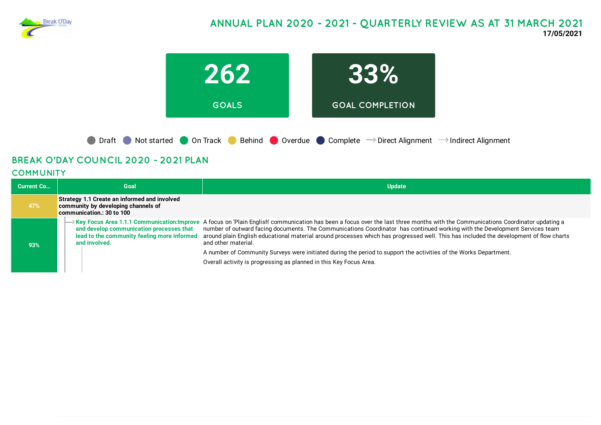

# **ANNUAL PLAN 2020 - 2021 - QUARTERLY REVIEW AS AT 31 MARCH 2021 17/05/2021**



# **BREAK O'DAY COUNCIL 2020 - 2021 PLAN**

### **COMMUNITY**

| <b>Current Co</b> | Goal                                                                                                             | <b>Update</b>                                                                                                                                                                                                                                                                                                                                                                                                                                                                    |
|-------------------|------------------------------------------------------------------------------------------------------------------|----------------------------------------------------------------------------------------------------------------------------------------------------------------------------------------------------------------------------------------------------------------------------------------------------------------------------------------------------------------------------------------------------------------------------------------------------------------------------------|
| 47%               | Strategy 1.1 Create an informed and involved<br>community by developing channels of<br>communication.: 30 to 100 |                                                                                                                                                                                                                                                                                                                                                                                                                                                                                  |
| 93%               | and develop communication processes that<br>lead to the community feeling more informed<br>and involved.         | → Key Focus Area 1.1.1 Communication:Improve A focus on 'Plain English' communication has been a focus over the last three months with the Communications Coordinator updating a<br>number of outward facing documents. The Communications Coordinator has continued working with the Development Services team<br>around plain English educational material around processes which has progressed well. This has included the development of flow charts<br>and other material. |
|                   |                                                                                                                  | A number of Community Surveys were initiated during the period to support the activities of the Works Department.                                                                                                                                                                                                                                                                                                                                                                |
|                   |                                                                                                                  | Overall activity is progressing as planned in this Key Focus Area.                                                                                                                                                                                                                                                                                                                                                                                                               |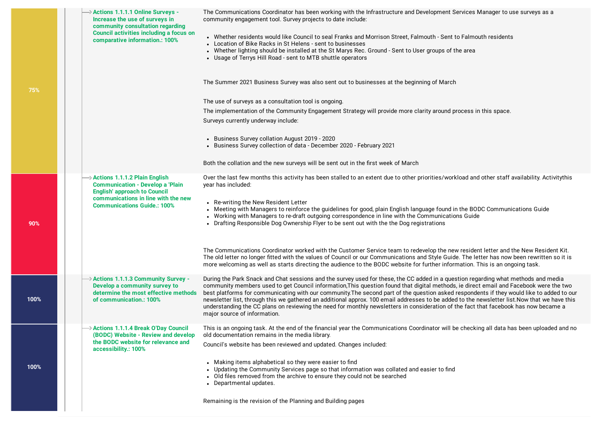| $\rightarrow$ Actions 1.1.1.1 Online Surveys -<br>Increase the use of surveys in<br>community consultation regarding<br><b>Council activities including a focus on</b><br>comparative information.: 100%   | The Communications Coordinator has been working with the Infrastructure and Development Services Manager to use surveys as a<br>community engagement tool. Survey projects to date include:<br>• Whether residents would like Council to seal Franks and Morrison Street, Falmouth - Sent to Falmouth residents<br>• Location of Bike Racks in St Helens - sent to businesses<br>• Whether lighting should be installed at the St Marys Rec. Ground - Sent to User groups of the area<br>• Usage of Terrys Hill Road - sent to MTB shuttle operators<br>The Summer 2021 Business Survey was also sent out to businesses at the beginning of March<br>The use of surveys as a consultation tool is ongoing.<br>The implementation of the Community Engagement Strategy will provide more clarity around process in this space.<br>Surveys currently underway include:                                                                                                   |
|------------------------------------------------------------------------------------------------------------------------------------------------------------------------------------------------------------|------------------------------------------------------------------------------------------------------------------------------------------------------------------------------------------------------------------------------------------------------------------------------------------------------------------------------------------------------------------------------------------------------------------------------------------------------------------------------------------------------------------------------------------------------------------------------------------------------------------------------------------------------------------------------------------------------------------------------------------------------------------------------------------------------------------------------------------------------------------------------------------------------------------------------------------------------------------------|
|                                                                                                                                                                                                            | • Business Survey collation August 2019 - 2020<br>• Business Survey collection of data - December 2020 - February 2021                                                                                                                                                                                                                                                                                                                                                                                                                                                                                                                                                                                                                                                                                                                                                                                                                                                 |
|                                                                                                                                                                                                            | Both the collation and the new surveys will be sent out in the first week of March                                                                                                                                                                                                                                                                                                                                                                                                                                                                                                                                                                                                                                                                                                                                                                                                                                                                                     |
| $\rightarrow$ Actions 1.1.1.2 Plain English<br><b>Communication - Develop a 'Plain</b><br><b>English' approach to Council</b><br>communications in line with the new<br><b>Communications Guide.: 100%</b> | Over the last few months this activity has been stalled to an extent due to other priorities/workload and other staff availability. Activitythis<br>year has included:<br>• Re-writing the New Resident Letter<br>• Meeting with Managers to reinforce the guidelines for good, plain English language found in the BODC Communications Guide<br>• Working with Managers to re-draft outgoing correspondence in line with the Communications Guide<br>• Drafting Responsible Dog Ownership Flyer to be sent out with the the Dog registrations<br>The Communications Coordinator worked with the Customer Service team to redevelop the new resident letter and the New Resident Kit.<br>The old letter no longer fitted with the values of Council or our Communications and Style Guide. The letter has now been rewritten so it is<br>more welcoming as well as starts directing the audience to the BODC website for further information. This is an ongoing task. |
| $\rightarrow$ Actions 1.1.1.3 Community Survey -<br>Develop a community survey to<br>determine the most effective methods<br>of communication.: 100%                                                       | During the Park Snack and Chat sessions and the survey used for these, the CC added in a question regarding what methods and media<br>community members used to get Council information, This question found that digital methods, ie direct email and Facebook were the two<br>best platforms for communicating with our community. The second part of the question asked respondents if they would like to added to our<br>newsletter list, through this we gathered an additional approx. 100 email addresses to be added to the newsletter list. Now that we have this<br>understanding the CC plans on reviewing the need for monthly newsletters in consideration of the fact that facebook has now became a<br>major source of information.                                                                                                                                                                                                                     |
| $\rightarrow$ Actions 1.1.1.4 Break O'Day Council<br>(BODC) Website - Review and develop<br>the BODC website for relevance and<br>accessibility.: 100%                                                     | This is an ongoing task. At the end of the financial year the Communications Coordinator will be checking all data has been uploaded and no<br>old documentation remains in the media library.<br>Council's website has been reviewed and updated. Changes included:<br>• Making items alphabetical so they were easier to find<br>• Updating the Community Services page so that information was collated and easier to find<br>• Old files removed from the archive to ensure they could not be searched<br>• Departmental updates.<br>Remaining is the revision of the Planning and Building pages                                                                                                                                                                                                                                                                                                                                                                  |

**100%**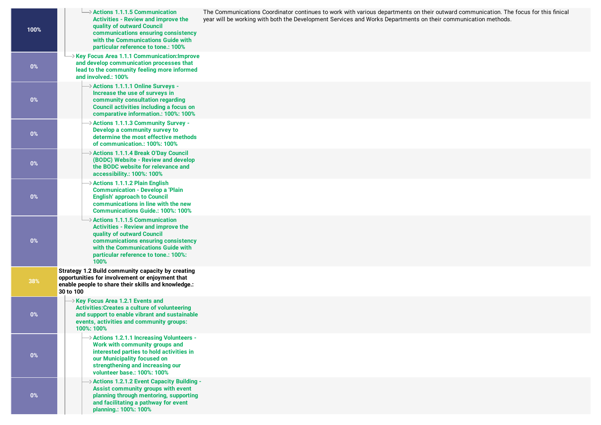| 100%  | $\rightarrow$ Actions 1.1.1.5 Communication<br><b>Activities - Review and improve the</b><br>quality of outward Council<br>communications ensuring consistency<br>with the Communications Guide with<br>particular reference to tone.: 100%          | The Communications Coordinator continues to work with various departments on their outward communication. The focus for this finical<br>year will be working with both the Development Services and Works Departments on their communication methods. |
|-------|------------------------------------------------------------------------------------------------------------------------------------------------------------------------------------------------------------------------------------------------------|-------------------------------------------------------------------------------------------------------------------------------------------------------------------------------------------------------------------------------------------------------|
| 0%    | → Key Focus Area 1.1.1 Communication: Improve<br>and develop communication processes that<br>lead to the community feeling more informed<br>and involved.: 100%                                                                                      |                                                                                                                                                                                                                                                       |
| $0\%$ | → Actions 1.1.1.1 Online Surveys -<br>Increase the use of surveys in<br>community consultation regarding<br><b>Council activities including a focus on</b><br>comparative information.: 100%: 100%                                                   |                                                                                                                                                                                                                                                       |
| $0\%$ | → Actions 1.1.1.3 Community Survey -<br>Develop a community survey to<br>determine the most effective methods<br>of communication.: 100%: 100%                                                                                                       |                                                                                                                                                                                                                                                       |
| $0\%$ | → Actions 1.1.1.4 Break O'Day Council<br>(BODC) Website - Review and develop<br>the BODC website for relevance and<br>accessibility.: 100%: 100%                                                                                                     |                                                                                                                                                                                                                                                       |
| 0%    | $\rightarrow$ Actions 1.1.1.2 Plain English<br><b>Communication - Develop a 'Plain</b><br><b>English' approach to Council</b><br>communications in line with the new<br><b>Communications Guide.: 100%: 100%</b>                                     |                                                                                                                                                                                                                                                       |
| $0\%$ | $\rightarrow$ Actions 1.1.1.5 Communication<br><b>Activities - Review and improve the</b><br>quality of outward Council<br>communications ensuring consistency<br>with the Communications Guide with<br>particular reference to tone.: 100%:<br>100% |                                                                                                                                                                                                                                                       |
| 38%   | Strategy 1.2 Build community capacity by creating<br>opportunities for involvement or enjoyment that<br>enable people to share their skills and knowledge.:<br>30 to 100                                                                             |                                                                                                                                                                                                                                                       |
| 0%    | $\rightarrow$ Key Focus Area 1.2.1 Events and<br><b>Activities: Creates a culture of volunteering</b><br>and support to enable vibrant and sustainable<br>events, activities and community groups:<br>100%: 100%                                     |                                                                                                                                                                                                                                                       |
| $0\%$ | $\rightarrow$ Actions 1.2.1.1 Increasing Volunteers -<br>Work with community groups and<br>interested parties to hold activities in<br>our Municipality focused on<br>strengthening and increasing our<br>volunteer base.: 100%: 100%                |                                                                                                                                                                                                                                                       |
| $0\%$ | $\rightarrow$ Actions 1.2.1.2 Event Capacity Building -<br>Assist community groups with event<br>planning through mentoring, supporting<br>and facilitating a pathway for event<br>planning.: 100%: 100%                                             |                                                                                                                                                                                                                                                       |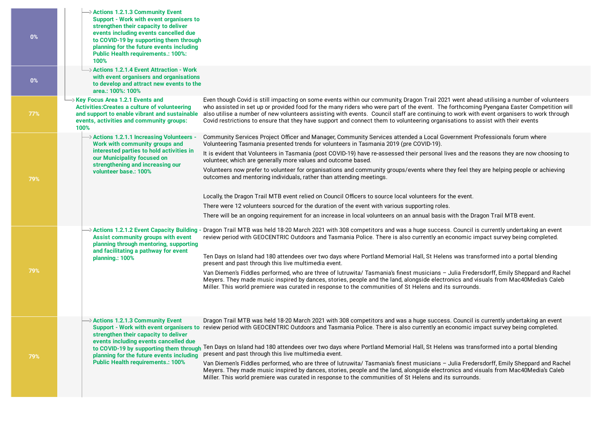| $\rightarrow$ Actions 1.2.1.3 Community Event<br>Support - Work with event organisers to<br>strengthen their capacity to deliver<br>events including events cancelled due<br>to COVID-19 by supporting them through<br>planning for the future events including<br><b>Public Health requirements.: 100%:</b><br>100%                                                                                                                                                                                                                                                                                                                                                                                                                                                                                                                                                                                                                                                                                                                                                                                                                                                                                                            |
|---------------------------------------------------------------------------------------------------------------------------------------------------------------------------------------------------------------------------------------------------------------------------------------------------------------------------------------------------------------------------------------------------------------------------------------------------------------------------------------------------------------------------------------------------------------------------------------------------------------------------------------------------------------------------------------------------------------------------------------------------------------------------------------------------------------------------------------------------------------------------------------------------------------------------------------------------------------------------------------------------------------------------------------------------------------------------------------------------------------------------------------------------------------------------------------------------------------------------------|
| $\rightarrow$ Actions 1.2.1.4 Event Attraction - Work<br>with event organisers and organisations<br>to develop and attract new events to the<br>area.: 100%: 100%                                                                                                                                                                                                                                                                                                                                                                                                                                                                                                                                                                                                                                                                                                                                                                                                                                                                                                                                                                                                                                                               |
| Xey Focus Area 1.2.1 Events and<br>Even though Covid is still impacting on some events within our community, Dragon Trail 2021 went ahead utilising a number of volunteers<br><b>Activities: Creates a culture of volunteering</b><br>who assisted in set up or provided food for the many riders who were part of the event. The forthcoming Pyengana Easter Competition will<br>and support to enable vibrant and sustainable<br>also utilise a number of new volunteers assisting with events. Council staff are continuing to work with event organisers to work through<br>Covid restrictions to ensure that they have support and connect them to volunteering organisations to assist with their events<br>events, activities and community groups:<br>100%                                                                                                                                                                                                                                                                                                                                                                                                                                                              |
| $\rightarrow$ Actions 1.2.1.1 Increasing Volunteers -<br>Community Services Project Officer and Manager, Community Services attended a Local Government Professionals forum where<br>Work with community groups and<br>Volunteering Tasmania presented trends for volunteers in Tasmania 2019 (pre COVID-19).<br>interested parties to hold activities in<br>It is evident that Volunteers in Tasmania (post COVID-19) have re-assessed their personal lives and the reasons they are now choosing to<br>our Municipality focused on<br>volunteer, which are generally more values and outcome based.<br>strengthening and increasing our<br>Volunteers now prefer to volunteer for organisations and community groups/events where they feel they are helping people or achieving<br>volunteer base.: 100%<br>outcomes and mentoring individuals, rather than attending meetings.<br>Locally, the Dragon Trail MTB event relied on Council Officers to source local volunteers for the event.<br>There were 12 volunteers sourced for the duration of the event with various supporting roles.<br>There will be an ongoing requirement for an increase in local volunteers on an annual basis with the Dragon Trail MTB event. |
| → Actions 1.2.1.2 Event Capacity Building - Dragon Trail MTB was held 18-20 March 2021 with 308 competitors and was a huge success. Council is currently undertaking an event<br>Assist community groups with event<br>review period with GEOCENTRIC Outdoors and Tasmania Police. There is also currently an economic impact survey being completed.<br>planning through mentoring, supporting<br>and facilitating a pathway for event<br>Ten Days on Island had 180 attendees over two days where Portland Memorial Hall, St Helens was transformed into a portal blending<br>planning.: 100%<br>present and past through this live multimedia event.<br>Van Diemen's Fiddles performed, who are three of lutruwita/ Tasmania's finest musicians - Julia Fredersdorff, Emily Sheppard and Rachel<br>Meyers. They made music inspired by dances, stories, people and the land, alongside electronics and visuals from Mac40Media's Caleb<br>Miller. This world premiere was curated in response to the communities of St Helens and its surrounds.                                                                                                                                                                             |
| Dragon Trail MTB was held 18-20 March 2021 with 308 competitors and was a huge success. Council is currently undertaking an event<br>$\rightarrow$ Actions 1.2.1.3 Community Event<br>Support - Work with event organisers to review period with GEOCENTRIC Outdoors and Tasmania Police. There is also currently an economic impact survey being completed.<br>strengthen their capacity to deliver<br>events including events cancelled due<br>to COVID-19 by supporting them through Ten Days on Island had 180 attendees over two days where Portland Memorial Hall, St Helens was transformed into a portal blending<br>present and past through this live multimedia event.<br>planning for the future events including<br><b>Public Health requirements.: 100%</b><br>Van Diemen's Fiddles performed, who are three of lutruwita/ Tasmania's finest musicians - Julia Fredersdorff, Emily Sheppard and Rachel<br>Meyers. They made music inspired by dances, stories, people and the land, alongside electronics and visuals from Mac40Media's Caleb<br>Miller. This world premiere was curated in response to the communities of St Helens and its surrounds.                                                           |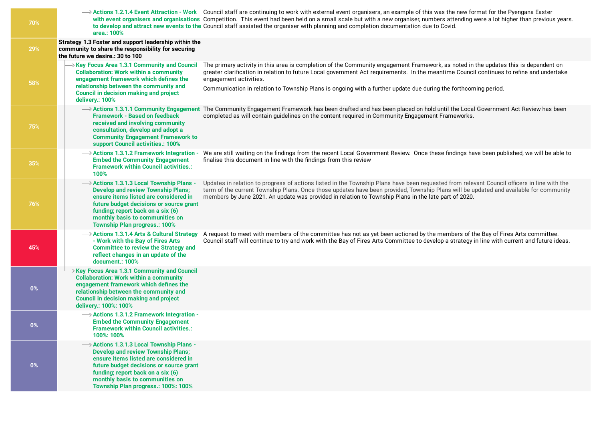| 70%   | Actions 1.2.1.4 Event Attraction - Work Council staff are continuing to work with external event organisers, an example of this was the new format for the Pyengana Easter<br>with event organisers and organisations Competition. This event had been held on a small scale but with a new organiser, numbers attending were a lot higher than previous years.<br>to develop and attract new events to the Council staff assisted the organiser with planning and completion documentation due to Covid.<br>area.: 100%                                                                                                                                                                              |
|-------|-------------------------------------------------------------------------------------------------------------------------------------------------------------------------------------------------------------------------------------------------------------------------------------------------------------------------------------------------------------------------------------------------------------------------------------------------------------------------------------------------------------------------------------------------------------------------------------------------------------------------------------------------------------------------------------------------------|
| 29%   | Strategy 1.3 Foster and support leadership within the<br>community to share the responsibility for securing<br>the future we desire.: 30 to 100                                                                                                                                                                                                                                                                                                                                                                                                                                                                                                                                                       |
| 58%   | $\rightarrow$ Key Focus Area 1.3.1 Community and Council<br>The primary activity in this area is completion of the Community engagement Framework, as noted in the updates this is dependent on<br><b>Collaboration: Work within a community</b><br>greater clarification in relation to future Local government Act requirements. In the meantime Council continues to refine and undertake<br>engagement framework which defines the<br>engagement activities.<br>relationship between the community and<br>Communication in relation to Township Plans is ongoing with a further update due during the forthcoming period.<br><b>Council in decision making and project</b><br>delivery.: 100%     |
| 75%   | → Actions 1.3.1.1 Community Engagement The Community Engagement Framework has been drafted and has been placed on hold until the Local Government Act Review has been<br><b>Framework - Based on feedback</b><br>completed as will contain guidelines on the content required in Community Engagement Frameworks.<br>received and involving community<br>consultation, develop and adopt a<br><b>Community Engagement Framework to</b><br>support Council activities.: 100%                                                                                                                                                                                                                           |
| 35%   | $\rightarrow$ Actions 1.3.1.2 Framework Integration -<br>We are still waiting on the findings from the recent Local Government Review. Once these findings have been published, we will be able to<br>finalise this document in line with the findings from this review<br><b>Embed the Community Engagement</b><br><b>Framework within Council activities.:</b><br>100%                                                                                                                                                                                                                                                                                                                              |
| 76%   | $\rightarrow$ Actions 1.3.1.3 Local Township Plans -<br>Updates in relation to progress of actions listed in the Township Plans have been requested from relevant Council officers in line with the<br>term of the current Township Plans. Once those updates have been provided, Township Plans will be updated and available for community<br><b>Develop and review Township Plans;</b><br>ensure items listed are considered in<br>members by June 2021. An update was provided in relation to Township Plans in the late part of 2020.<br>future budget decisions or source grant<br>funding; report back on a six (6)<br>monthly basis to communities on<br><b>Township Plan progress.: 100%</b> |
| 45%   | $\rightarrow$ Actions 1.3.1.4 Arts & Cultural Strategy<br>A request to meet with members of the committee has not as yet been actioned by the members of the Bay of Fires Arts committee.<br>- Work with the Bay of Fires Arts<br>Council staff will continue to try and work with the Bay of Fires Arts Committee to develop a strategy in line with current and future ideas.<br><b>Committee to review the Strategy and</b><br>reflect changes in an update of the<br>document.: 100%                                                                                                                                                                                                              |
| $0\%$ | $\rightarrow$ Key Focus Area 1.3.1 Community and Council<br><b>Collaboration: Work within a community</b><br>engagement framework which defines the<br>relationship between the community and<br><b>Council in decision making and project</b><br>delivery.: 100%: 100%                                                                                                                                                                                                                                                                                                                                                                                                                               |
| $0\%$ | $\rightarrow$ Actions 1.3.1.2 Framework Integration -<br><b>Embed the Community Engagement</b><br><b>Framework within Council activities.:</b><br>100%: 100%                                                                                                                                                                                                                                                                                                                                                                                                                                                                                                                                          |
| $0\%$ | > Actions 1.3.1.3 Local Township Plans -<br><b>Develop and review Township Plans;</b><br>ensure items listed are considered in<br>future budget decisions or source grant<br>funding; report back on a six (6)<br>monthly basis to communities on<br>Township Plan progress.: 100%: 100%                                                                                                                                                                                                                                                                                                                                                                                                              |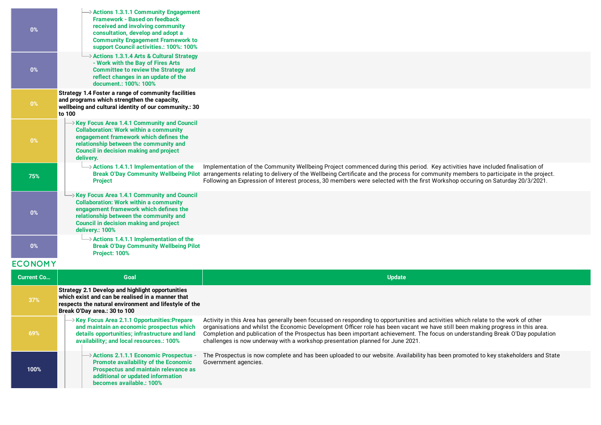| 0%                | $\rightarrow$ Actions 1.3.1.1 Community Engagement<br><b>Framework - Based on feedback</b><br>received and involving community<br>consultation, develop and adopt a<br><b>Community Engagement Framework to</b><br>support Council activities.: 100%: 100% |                                                                                                                                                                                                                                                                                                                                                                                                                                                                                          |
|-------------------|------------------------------------------------------------------------------------------------------------------------------------------------------------------------------------------------------------------------------------------------------------|------------------------------------------------------------------------------------------------------------------------------------------------------------------------------------------------------------------------------------------------------------------------------------------------------------------------------------------------------------------------------------------------------------------------------------------------------------------------------------------|
| 0%                | > Actions 1.3.1.4 Arts & Cultural Strategy<br>- Work with the Bay of Fires Arts<br><b>Committee to review the Strategy and</b><br>reflect changes in an update of the<br>document.: 100%: 100%                                                             |                                                                                                                                                                                                                                                                                                                                                                                                                                                                                          |
| 0%                | Strategy 1.4 Foster a range of community facilities<br>and programs which strengthen the capacity,<br>wellbeing and cultural identity of our community.: 30<br>to 100                                                                                      |                                                                                                                                                                                                                                                                                                                                                                                                                                                                                          |
| 0%                | Xey Focus Area 1.4.1 Community and Council<br><b>Collaboration: Work within a community</b><br>engagement framework which defines the<br>relationship between the community and<br><b>Council in decision making and project</b><br>delivery.              |                                                                                                                                                                                                                                                                                                                                                                                                                                                                                          |
| 75%               | $\rightarrow$ Actions 1.4.1.1 Implementation of the<br><b>Project</b>                                                                                                                                                                                      | Implementation of the Community Wellbeing Project commenced during this period. Key activities have included finalisation of<br>Break O'Day Community Wellbeing Pilot arrangements relating to delivery of the Wellbeing Certificate and the process for community members to participate in the project.<br>Following an Expression of Interest process, 30 members were selected with the first Workshop occuring on Saturday 20/3/2021.                                               |
| 0%                | Xey Focus Area 1.4.1 Community and Council<br><b>Collaboration: Work within a community</b><br>engagement framework which defines the<br>relationship between the community and<br><b>Council in decision making and project</b><br>delivery.: 100%        |                                                                                                                                                                                                                                                                                                                                                                                                                                                                                          |
| $0\%$             | $\rightarrow$ Actions 1.4.1.1 Implementation of the<br><b>Break O'Day Community Wellbeing Pilot</b><br>Project: 100%                                                                                                                                       |                                                                                                                                                                                                                                                                                                                                                                                                                                                                                          |
| <b>ECONOMY</b>    |                                                                                                                                                                                                                                                            |                                                                                                                                                                                                                                                                                                                                                                                                                                                                                          |
| <b>Current Co</b> | Goal                                                                                                                                                                                                                                                       | <b>Update</b>                                                                                                                                                                                                                                                                                                                                                                                                                                                                            |
| 37%               | <b>Strategy 2.1 Develop and highlight opportunities</b><br>which exist and can be realised in a manner that<br>respects the natural environment and lifestyle of the<br>Break O'Day area.: 30 to 100                                                       |                                                                                                                                                                                                                                                                                                                                                                                                                                                                                          |
| 69%               | → Key Focus Area 2.1.1 Opportunities:Prepare<br>and maintain an economic prospectus which<br>details opportunities; infrastructure and land<br>availability; and local resources.: 100%                                                                    | Activity in this Area has generally been focussed on responding to opportunities and activities which relate to the work of other<br>organisations and whilst the Economic Development Officer role has been vacant we have still been making progress in this area.<br>Completion and publication of the Prospectus has been important achievement. The focus on understanding Break O'Day population<br>challenges is now underway with a workshop presentation planned for June 2021. |
| 100%              | $\rightarrow$ Actions 2.1.1.1 Economic Prospectus -<br><b>Promote availability of the Economic</b><br>Prospectus and maintain relevance as<br>additional or updated information<br>becomes available.: 100%                                                | The Prospectus is now complete and has been uploaded to our website. Availability has been promoted to key stakeholders and State<br>Government agencies.                                                                                                                                                                                                                                                                                                                                |
|                   |                                                                                                                                                                                                                                                            |                                                                                                                                                                                                                                                                                                                                                                                                                                                                                          |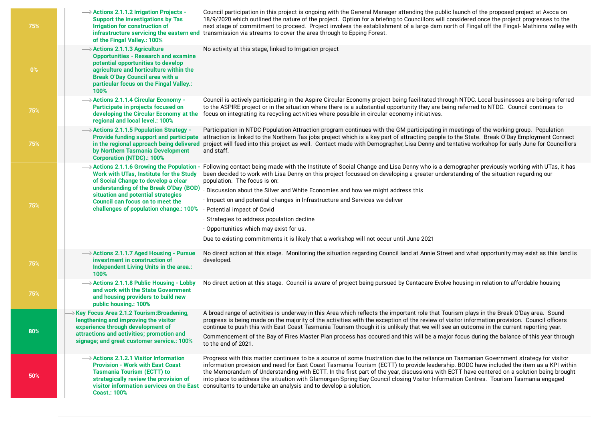| 75%   | $\rightarrow$ Actions 2.1.1.2 Irrigation Projects -<br>Support the investigations by Tas<br>Irrigation for construction of<br>infrastructure servicing the eastern end<br>of the Fingal Valley.: 100%                                                                                             | Council participation in this project is ongoing with the General Manager attending the public launch of the proposed project at Avoca on<br>18/9/2020 which outlined the nature of the project. Option for a briefing to Councillors will considered once the project progresses to the<br>next stage of commitment to proceed. Project involves the establishment of a large dam north of Fingal off the Fingal-Mathinna valley with<br>transmission via streams to cover the area through to Epping Forest.                                                                                                                                                                                     |
|-------|---------------------------------------------------------------------------------------------------------------------------------------------------------------------------------------------------------------------------------------------------------------------------------------------------|----------------------------------------------------------------------------------------------------------------------------------------------------------------------------------------------------------------------------------------------------------------------------------------------------------------------------------------------------------------------------------------------------------------------------------------------------------------------------------------------------------------------------------------------------------------------------------------------------------------------------------------------------------------------------------------------------|
| $0\%$ | > Actions 2.1.1.3 Agriculture<br><b>Opportunities - Research and examine</b><br>potential opportunities to develop<br>agriculture and horticulture within the<br><b>Break O'Day Council area with a</b><br>particular focus on the Fingal Valley.:<br>100%                                        | No activity at this stage, linked to Irrigation project                                                                                                                                                                                                                                                                                                                                                                                                                                                                                                                                                                                                                                            |
| 75%   | > Actions 2.1.1.4 Circular Economy -<br>Participate in projects focused on<br>developing the Circular Economy at the<br>regional and local level.: 100%                                                                                                                                           | Council is actively participating in the Aspire Circular Economy project being facilitated through NTDC. Local businesses are being referred<br>to the ASPIRE project or in the situation where there is a substantial opportunity they are being referred to NTDC. Council continues to<br>focus on integrating its recycling activities where possible in circular economy initiatives.                                                                                                                                                                                                                                                                                                          |
| 75%   | $\rightarrow$ Actions 2.1.1.5 Population Strategy -<br>Provide funding support and participate<br>in the regional approach being delivered<br>by Northern Tasmania Development<br><b>Corporation (NTDC).: 100%</b>                                                                                | Participation in NTDC Population Attraction program continues with the GM participating in meetings of the working group. Population<br>attraction is linked to the Northern Tas jobs project which is a key part of attracting people to the State. Break O'Day Employment Connect<br>project will feed into this project as well. Contact made with Demographer, Lisa Denny and tentative workshop for early June for Councillors<br>and staff.                                                                                                                                                                                                                                                  |
| 75%   | > Actions 2.1.1.6 Growing the Population -<br>Work with UTas, Institute for the Study<br>of Social Change to develop a clear<br>understanding of the Break O'Day (BOD)<br>situation and potential strategies<br><b>Council can focus on to meet the</b><br>challenges of population change.: 100% | Following contact being made with the Institute of Social Change and Lisa Denny who is a demographer previously working with UTas, it has<br>been decided to work with Lisa Denny on this project focussed on developing a greater understanding of the situation regarding our<br>population. The focus is on:<br>· Discussion about the Silver and White Economies and how we might address this<br>· Impact on and potential changes in Infrastructure and Services we deliver<br>· Potential impact of Covid<br>· Strategies to address population decline<br>Opportunities which may exist for us.<br>Due to existing commitments it is likely that a workshop will not occur until June 2021 |
| 75%   | > Actions 2.1.1.7 Aged Housing - Pursue<br>investment in construction of<br>Independent Living Units in the area.:<br>100%                                                                                                                                                                        | No direct action at this stage. Monitoring the situation regarding Council land at Annie Street and what opportunity may exist as this land is<br>developed.                                                                                                                                                                                                                                                                                                                                                                                                                                                                                                                                       |
| 75%   | > Actions 2.1.1.8 Public Housing - Lobby<br>and work with the State Government<br>and housing providers to build new<br>public housing.: 100%                                                                                                                                                     | No direct action at this stage. Council is aware of project being pursued by Centacare Evolve housing in relation to affordable housing                                                                                                                                                                                                                                                                                                                                                                                                                                                                                                                                                            |
| 80%   | $\rightarrow$ Key Focus Area 2.1.2 Tourism: Broadening,<br>lengthening and improving the visitor<br>experience through development of<br>attractions and activities; promotion and<br>signage; and great customer service.: 100%                                                                  | A broad range of activities is underway in this Area which reflects the important role that Tourism plays in the Break O'Day area. Sound<br>progress is being made on the majority of the activities with the exception of the review of visitor information provision. Council officers<br>continue to push this with East Coast Tasmania Tourism though it is unlikely that we will see an outcome in the current reporting year.<br>Commencement of the Bay of Fires Master Plan process has occured and this will be a major focus during the balance of this year through<br>to the end of 2021.                                                                                              |
| 50%   | $\rightarrow$ Actions 2.1.2.1 Visitor Information<br><b>Provision - Work with East Coast</b><br><b>Tasmania Tourism (ECTT) to</b><br>strategically review the provision of<br>visitor information services on the East<br><b>Coast.: 100%</b>                                                     | Progress with this matter continues to be a source of some frustration due to the reliance on Tasmanian Government strategy for visitor<br>information provision and need for East Coast Tasmania Tourism (ECTT) to provide leadership. BODC have included the item as a KPI within<br>the Memorandum of Understanding with ECTT. In the first part of the year, discussions with ECTT have centered on a solution being brought<br>into place to address the situation with Glamorgan-Spring Bay Council closing Visitor Information Centres. Tourism Tasmania engaged<br>consultants to undertake an analysis and to develop a solution.                                                         |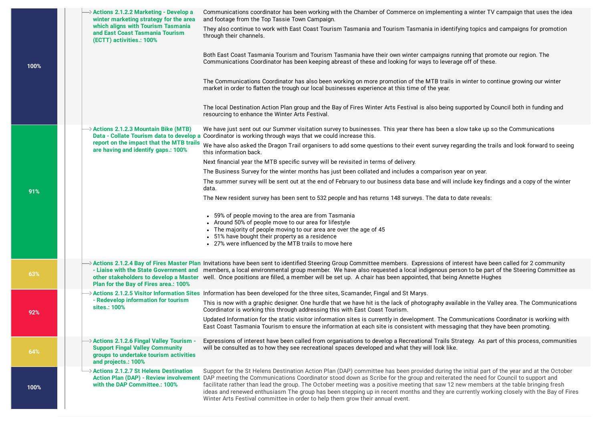|      | $\rightarrow$ Actions 2.1.2.2 Marketing - Develop a<br>winter marketing strategy for the area<br>which aligns with Tourism Tasmania<br>and East Coast Tasmania Tourism<br>(ECTT) activities.: 100% | Communications coordinator has been working with the Chamber of Commerce on implementing a winter TV campaign that uses the idea<br>and footage from the Top Tassie Town Campaign.<br>They also continue to work with East Coast Tourism Tasmania and Tourism Tasmania in identifying topics and campaigns for promotion<br>through their channels.                                                                                                                                                                                                                                                                                                   |
|------|----------------------------------------------------------------------------------------------------------------------------------------------------------------------------------------------------|-------------------------------------------------------------------------------------------------------------------------------------------------------------------------------------------------------------------------------------------------------------------------------------------------------------------------------------------------------------------------------------------------------------------------------------------------------------------------------------------------------------------------------------------------------------------------------------------------------------------------------------------------------|
| 100% |                                                                                                                                                                                                    | Both East Coast Tasmania Tourism and Tourism Tasmania have their own winter campaigns running that promote our region. The<br>Communications Coordinator has been keeping abreast of these and looking for ways to leverage off of these.                                                                                                                                                                                                                                                                                                                                                                                                             |
|      |                                                                                                                                                                                                    | The Communications Coordinator has also been working on more promotion of the MTB trails in winter to continue growing our winter<br>market in order to flatten the trough our local businesses experience at this time of the year.                                                                                                                                                                                                                                                                                                                                                                                                                  |
|      |                                                                                                                                                                                                    | The local Destination Action Plan group and the Bay of Fires Winter Arts Festival is also being supported by Council both in funding and<br>resourcing to enhance the Winter Arts Festival.                                                                                                                                                                                                                                                                                                                                                                                                                                                           |
|      | $\rightarrow$ Actions 2.1.2.3 Mountain Bike (MTB)                                                                                                                                                  | We have just sent out our Summer visitation survey to businesses. This year there has been a slow take up so the Communications<br>Data - Collate Tourism data to develop a Coordinator is working through ways that we could increase this.                                                                                                                                                                                                                                                                                                                                                                                                          |
|      | report on the impact that the MTB trails<br>are having and identify gaps.: 100%                                                                                                                    | We have also asked the Dragon Trail organisers to add some questions to their event survey regarding the trails and look forward to seeing<br>this information back.                                                                                                                                                                                                                                                                                                                                                                                                                                                                                  |
|      |                                                                                                                                                                                                    | Next financial year the MTB specific survey will be revisited in terms of delivery.                                                                                                                                                                                                                                                                                                                                                                                                                                                                                                                                                                   |
|      |                                                                                                                                                                                                    | The Business Survey for the winter months has just been collated and includes a comparison year on year.                                                                                                                                                                                                                                                                                                                                                                                                                                                                                                                                              |
| 91%  |                                                                                                                                                                                                    | The summer survey will be sent out at the end of February to our business data base and will include key findings and a copy of the winter<br>data.                                                                                                                                                                                                                                                                                                                                                                                                                                                                                                   |
|      |                                                                                                                                                                                                    | The New resident survey has been sent to 532 people and has returns 148 surveys. The data to date reveals:                                                                                                                                                                                                                                                                                                                                                                                                                                                                                                                                            |
|      |                                                                                                                                                                                                    | • 59% of people moving to the area are from Tasmania<br>• Around 50% of people move to our area for lifestyle<br>• The majority of people moving to our area are over the age of 45<br>• 51% have bought their property as a residence<br>• 27% were influenced by the MTB trails to move here                                                                                                                                                                                                                                                                                                                                                        |
| 63%  | Plan for the Bay of Fires area.: 100%                                                                                                                                                              | $\rightarrow$ Actions 2.1.2.4 Bay of Fires Master Plan Invitations have been sent to identified Steering Group Committee members. Expressions of interest have been called for 2 community<br>- Liaise with the State Government and members, a local environmental group member. We have also requested a local indigenous person to be part of the Steering Committee as<br>other stakeholders to develop a Master well. Once positions are filled, a member will be set up. A chair has been appointed, that being Annette Hughes                                                                                                                  |
|      |                                                                                                                                                                                                    | $\rightarrow$ Actions 2.1.2.5 Visitor Information Sites Information has been developed for the three sites, Scamander, Fingal and St Marys.                                                                                                                                                                                                                                                                                                                                                                                                                                                                                                           |
| 92%  | - Redevelop information for tourism<br>sites.: 100%                                                                                                                                                | This is now with a graphic designer. One hurdle that we have hit is the lack of photography available in the Valley area. The Communications<br>Coordinator is working this through addressing this with East Coast Tourism.                                                                                                                                                                                                                                                                                                                                                                                                                          |
|      |                                                                                                                                                                                                    | Updated Information for the static visitor information sites is currently in development. The Communications Coordinator is working with<br>East Coast Tasmania Tourism to ensure the information at each site is consistent with messaging that they have been promoting.                                                                                                                                                                                                                                                                                                                                                                            |
| 64%  | $\rightarrow$ Actions 2.1.2.6 Fingal Valley Tourism -<br><b>Support Fingal Valley Community</b><br>groups to undertake tourism activities<br>and projects.: 100%                                   | Expressions of interest have been called from organisations to develop a Recreational Trails Strategy. As part of this process, communities<br>will be consulted as to how they see recreational spaces developed and what they will look like.                                                                                                                                                                                                                                                                                                                                                                                                       |
| 100% | > Actions 2.1.2.7 St Helens Destination<br><b>Action Plan (DAP) - Review involvement</b><br>with the DAP Committee.: 100%                                                                          | Support for the St Helens Destination Action Plan (DAP) committee has been provided during the initial part of the year and at the October<br>DAP meeting the Communications Coordinator stood down as Scribe for the group and reiterated the need for Council to support and<br>facilitate rather than lead the group. The October meeting was a positive meeting that saw 12 new members at the table bringing fresh<br>ideas and renewed enthusiasm The group has been stepping up in recent months and they are currently working closely with the Bay of Fires<br>Winter Arts Festival committee in order to help them grow their annual event. |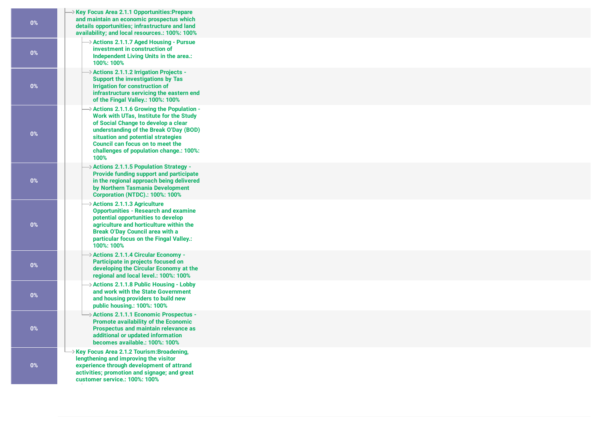| $0\%$ | Xey Focus Area 2.1.1 Opportunities: Prepare<br>and maintain an economic prospectus which<br>details opportunities; infrastructure and land<br>availability; and local resources.: 100%: 100%                                                                                                                    |
|-------|-----------------------------------------------------------------------------------------------------------------------------------------------------------------------------------------------------------------------------------------------------------------------------------------------------------------|
| $0\%$ | $\rightarrow$ Actions 2.1.1.7 Aged Housing - Pursue<br>investment in construction of<br>Independent Living Units in the area.:<br>100%: 100%                                                                                                                                                                    |
| $0\%$ | $\rightarrow$ Actions 2.1.1.2 Irrigation Projects -<br>Support the investigations by Tas<br>Irrigation for construction of<br>infrastructure servicing the eastern end<br>of the Fingal Valley.: 100%: 100%                                                                                                     |
| 0%    | $\rightarrow$ Actions 2.1.1.6 Growing the Population -<br>Work with UTas, Institute for the Study<br>of Social Change to develop a clear<br>understanding of the Break O'Day (BOD)<br>situation and potential strategies<br>Council can focus on to meet the<br>challenges of population change.: 100%:<br>100% |
| $0\%$ | $\rightarrow$ Actions 2.1.1.5 Population Strategy -<br>Provide funding support and participate<br>in the regional approach being delivered<br>by Northern Tasmania Development<br><b>Corporation (NTDC).: 100%: 100%</b>                                                                                        |
| 0%    | $\rightarrow$ Actions 2.1.1.3 Agriculture<br><b>Opportunities - Research and examine</b><br>potential opportunities to develop<br>agriculture and horticulture within the<br><b>Break O'Day Council area with a</b><br>particular focus on the Fingal Valley.:<br>100%: 100%                                    |
| $0\%$ | → Actions 2.1.1.4 Circular Economy -<br>Participate in projects focused on<br>developing the Circular Economy at the<br>regional and local level.: 100%: 100%                                                                                                                                                   |
| $0\%$ | $\rightarrow$ Actions 2.1.1.8 Public Housing - Lobby<br>and work with the State Government<br>and housing providers to build new<br>public housing.: 100%: 100%                                                                                                                                                 |
| $0\%$ | $\rightarrow$ Actions 2.1.1.1 Economic Prospectus -<br><b>Promote availability of the Economic</b><br>Prospectus and maintain relevance as<br>additional or updated information<br>becomes available.: 100%: 100%                                                                                               |
| $0\%$ | → Key Focus Area 2.1.2 Tourism:Broadening,<br>lengthening and improving the visitor<br>experience through development of attrand<br>activities; promotion and signage; and great<br>customer service.: 100%: 100%                                                                                               |
|       |                                                                                                                                                                                                                                                                                                                 |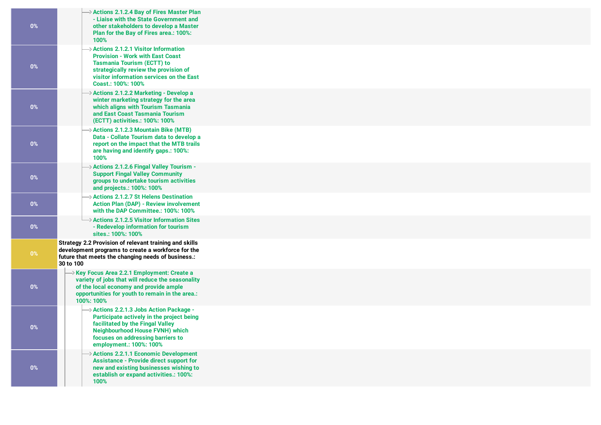| $0\%$ | Actions 2.1.2.4 Bay of Fires Master Plan<br>- Liaise with the State Government and<br>other stakeholders to develop a Master<br>Plan for the Bay of Fires area.: 100%:<br>100%                                                                 |
|-------|------------------------------------------------------------------------------------------------------------------------------------------------------------------------------------------------------------------------------------------------|
| $0\%$ | $\rightarrow$ Actions 2.1.2.1 Visitor Information<br><b>Provision - Work with East Coast</b><br><b>Tasmania Tourism (ECTT) to</b><br>strategically review the provision of<br>visitor information services on the East<br>Coast.: 100%: 100%   |
| $0\%$ | → Actions 2.1.2.2 Marketing - Develop a<br>winter marketing strategy for the area<br>which aligns with Tourism Tasmania<br>and East Coast Tasmania Tourism<br>(ECTT) activities.: 100%: 100%                                                   |
| $0\%$ | > Actions 2.1.2.3 Mountain Bike (MTB)<br>Data - Collate Tourism data to develop a<br>report on the impact that the MTB trails<br>are having and identify gaps.: 100%:<br>100%                                                                  |
| $0\%$ | $\rightarrow$ Actions 2.1.2.6 Fingal Valley Tourism -<br><b>Support Fingal Valley Community</b><br>groups to undertake tourism activities<br>and projects.: 100%: 100%                                                                         |
| $0\%$ | $\rightarrow$ Actions 2.1.2.7 St Helens Destination<br><b>Action Plan (DAP) - Review involvement</b><br>with the DAP Committee.: 100%: 100%                                                                                                    |
| $0\%$ | $\rightarrow$ Actions 2.1.2.5 Visitor Information Sites<br>- Redevelop information for tourism<br>sites.: 100%: 100%                                                                                                                           |
| $0\%$ | Strategy 2.2 Provision of relevant training and skills<br>development programs to create a workforce for the<br>future that meets the changing needs of business.:<br>30 to 100                                                                |
| $0\%$ | → Key Focus Area 2.2.1 Employment: Create a<br>variety of jobs that will reduce the seasonality<br>of the local economy and provide ample<br>opportunities for youth to remain in the area.:<br>100%: 100%                                     |
| $0\%$ | $\rightarrow$ Actions 2.2.1.3 Jobs Action Package -<br>Participate actively in the project being<br>facilitated by the Fingal Valley<br><b>Neighbourhood House FVNH) which</b><br>focuses on addressing barriers to<br>employment.: 100%: 100% |
| $0\%$ | $\rightarrow$ Actions 2.2.1.1 Economic Development<br><b>Assistance - Provide direct support for</b><br>new and existing businesses wishing to<br>establish or expand activities.: 100%:<br>100%                                               |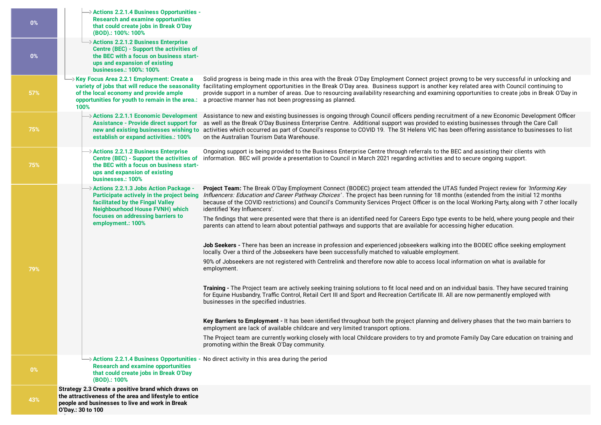| 0%    | $\rightarrow$ Actions 2.2.1.4 Business Opportunities -<br><b>Research and examine opportunities</b><br>that could create jobs in Break O'Day<br>(BOD).: 100%: 100%                                                           |                                                                                                                                                                                                                                                                                                                                                                                                                                                                                                                                                                                                                                                                                                                                   |
|-------|------------------------------------------------------------------------------------------------------------------------------------------------------------------------------------------------------------------------------|-----------------------------------------------------------------------------------------------------------------------------------------------------------------------------------------------------------------------------------------------------------------------------------------------------------------------------------------------------------------------------------------------------------------------------------------------------------------------------------------------------------------------------------------------------------------------------------------------------------------------------------------------------------------------------------------------------------------------------------|
| $0\%$ | $\rightarrow$ Actions 2.2.1.2 Business Enterprise<br>Centre (BEC) - Support the activities of<br>the BEC with a focus on business start-<br>ups and expansion of existing<br>businesses.: 100%: 100%                         |                                                                                                                                                                                                                                                                                                                                                                                                                                                                                                                                                                                                                                                                                                                                   |
| 57%   | → Key Focus Area 2.2.1 Employment: Create a<br>variety of jobs that will reduce the seasonality<br>of the local economy and provide ample<br>100%                                                                            | Solid progress is being made in this area with the Break O'Day Employment Connect project provng to be very successful in unlocking and<br>facilitating employment opportunities in the Break O'Day area. Business support is another key related area with Council continuing to<br>provide support in a number of areas. Due to resourcing availability researching and examining opportunities to create jobs in Break O'Day in<br>opportunities for youth to remain in the area.: a proactive manner has not been progressing as planned.                                                                                                                                                                                     |
| 75%   | $\rightarrow$ Actions 2.2.1.1 Economic Development<br><b>Assistance - Provide direct support for</b><br>establish or expand activities.: 100%                                                                                | Assistance to new and existing businesses is ongoing through Council officers pending recruitment of a new Economic Development Officer<br>as well as the Break O'Day Business Enterprise Centre. Additional support was provided to existing businesses through the Care Call<br>new and existing businesses wishing to activities which occurred as part of Council's response to COVID 19. The St Helens VIC has been offering assistance to businesses to list<br>on the Australian Tourism Data Warehouse.                                                                                                                                                                                                                   |
| 75%   | > Actions 2.2.1.2 Business Enterprise<br>Centre (BEC) - Support the activities of<br>the BEC with a focus on business start-<br>ups and expansion of existing<br>businesses.: 100%                                           | Ongoing support is being provided to the Business Enterprise Centre through referrals to the BEC and assisting their clients with<br>information. BEC will provide a presentation to Council in March 2021 regarding activities and to secure ongoing support.                                                                                                                                                                                                                                                                                                                                                                                                                                                                    |
|       | > Actions 2.2.1.3 Jobs Action Package -<br>Participate actively in the project being<br>facilitated by the Fingal Valley<br><b>Neighbourhood House FVNH) which</b><br>focuses on addressing barriers to<br>employment.: 100% | Project Team: The Break O'Day Employment Connect (BODEC) project team attended the UTAS funded Project review for 'Informing Key<br>Influencers: Education and Career Pathway Choices'. The project has been running for 18 months (extended from the initial 12 months<br>because of the COVID restrictions) and Council's Community Services Project Officer is on the local Working Party, along with 7 other locally<br>identified 'Key Influencers'.<br>The findings that were presented were that there is an identified need for Careers Expo type events to be held, where young people and their<br>parents can attend to learn about potential pathways and supports that are available for accessing higher education. |
|       |                                                                                                                                                                                                                              | Job Seekers - There has been an increase in profession and experienced jobseekers walking into the BODEC office seeking employment<br>locally. Over a third of the Jobseekers have been successfully matched to valuable employment.                                                                                                                                                                                                                                                                                                                                                                                                                                                                                              |
| 79%   |                                                                                                                                                                                                                              | 90% of Jobseekers are not registered with Centrelink and therefore now able to access local information on what is available for<br>employment.                                                                                                                                                                                                                                                                                                                                                                                                                                                                                                                                                                                   |
|       |                                                                                                                                                                                                                              | Training - The Project team are actively seeking training solutions to fit local need and on an individual basis. They have secured training<br>for Equine Husbandry, Traffic Control, Retail Cert III and Sport and Recreation Certificate III. All are now permanently employed with<br>businesses in the specified industries.                                                                                                                                                                                                                                                                                                                                                                                                 |
|       |                                                                                                                                                                                                                              | Key Barriers to Employment - It has been identified throughout both the project planning and delivery phases that the two main barriers to<br>employment are lack of available childcare and very limited transport options.                                                                                                                                                                                                                                                                                                                                                                                                                                                                                                      |
|       |                                                                                                                                                                                                                              | The Project team are currently working closely with local Childcare providers to try and promote Family Day Care education on training and<br>promoting within the Break O'Day community.                                                                                                                                                                                                                                                                                                                                                                                                                                                                                                                                         |
| $0\%$ | <b>Research and examine opportunities</b><br>that could create jobs in Break O'Day<br>(BOD).: 100%                                                                                                                           | $\rightarrow$ Actions 2.2.1.4 Business Opportunities - No direct activity in this area during the period                                                                                                                                                                                                                                                                                                                                                                                                                                                                                                                                                                                                                          |
| 43%   | Strategy 2.3 Create a positive brand which draws on<br>the attractiveness of the area and lifestyle to entice<br>people and businesses to live and work in Break<br>O'Day.: 30 to 100                                        |                                                                                                                                                                                                                                                                                                                                                                                                                                                                                                                                                                                                                                                                                                                                   |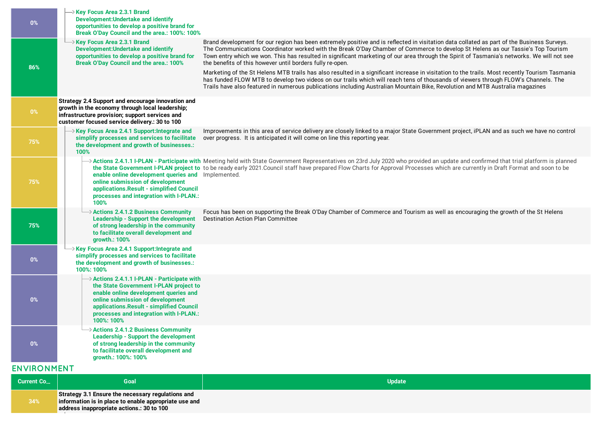| $0\%$              | → Key Focus Area 2.3.1 Brand<br><b>Development: Undertake and identify</b><br>opportunities to develop a positive brand for<br>Break O'Day Council and the area.: 100%: 100%                                                                                          |                                                                                                                                                                                                                                                                                                                                                                                                                                                                                          |
|--------------------|-----------------------------------------------------------------------------------------------------------------------------------------------------------------------------------------------------------------------------------------------------------------------|------------------------------------------------------------------------------------------------------------------------------------------------------------------------------------------------------------------------------------------------------------------------------------------------------------------------------------------------------------------------------------------------------------------------------------------------------------------------------------------|
| 86%                | $\rightarrow$ Key Focus Area 2.3.1 Brand<br><b>Development: Undertake and identify</b><br>opportunities to develop a positive brand for<br><b>Break O'Day Council and the area.: 100%</b>                                                                             | Brand development for our region has been extremely positive and is reflected in visitation data collated as part of the Business Surveys.<br>The Communications Coordinator worked with the Break O'Day Chamber of Commerce to develop St Helens as our Tassie's Top Tourism<br>Town entry which we won. This has resulted in significant marketing of our area through the Spirit of Tasmania's networks. We will not see<br>the benefits of this however until borders fully re-open. |
|                    |                                                                                                                                                                                                                                                                       | Marketing of the St Helens MTB trails has also resulted in a significant increase in visitation to the trails. Most recently Tourism Tasmania<br>has funded FLOW MTB to develop two videos on our trails which will reach tens of thousands of viewers through FLOW's Channels. The<br>Trails have also featured in numerous publications including Australian Mountain Bike, Revolution and MTB Australia magazines                                                                     |
| $0\%$              | Strategy 2.4 Support and encourage innovation and<br>growth in the economy through local leadership;<br>infrastructure provision; support services and<br>customer focused service delivery.: 30 to 100                                                               |                                                                                                                                                                                                                                                                                                                                                                                                                                                                                          |
| 75%                | $\rightarrow$ Key Focus Area 2.4.1 Support: Integrate and<br>simplify processes and services to facilitate<br>the development and growth of businesses.:<br>100%                                                                                                      | Improvements in this area of service delivery are closely linked to a major State Government project, iPLAN and as such we have no control<br>over progress. It is anticipated it will come on line this reporting year.                                                                                                                                                                                                                                                                 |
| 75%                | enable online development queries and Implemented.<br>online submission of development<br>applications. Result - simplified Council<br>processes and integration with I-PLAN.:<br>100%                                                                                | Actions 2.4.1.1 I-PLAN - Participate with Meeting held with State Government Representatives on 23rd July 2020 who provided an update and confirmed that trial platform is planned<br>the State Government I-PLAN project to to be ready early 2021.Council staff have prepared Flow Charts for Approval Processes which are currently in Draft Format and soon to be                                                                                                                    |
| 75%                | $\rightarrow$ Actions 2.4.1.2 Business Community<br><b>Leadership - Support the development</b><br>of strong leadership in the community<br>to facilitate overall development and<br>growth.: 100%                                                                    | Focus has been on supporting the Break O'Day Chamber of Commerce and Tourism as well as encouraging the growth of the St Helens<br><b>Destination Action Plan Committee</b>                                                                                                                                                                                                                                                                                                              |
| $0\%$              | $\rightarrow$ Key Focus Area 2.4.1 Support: Integrate and<br>simplify processes and services to facilitate<br>the development and growth of businesses.:<br>100%: 100%                                                                                                |                                                                                                                                                                                                                                                                                                                                                                                                                                                                                          |
| 0%                 | Actions 2.4.1.1 I-PLAN - Participate with<br>the State Government I-PLAN project to<br>enable online development queries and<br>online submission of development<br>applications.Result - simplified Council<br>processes and integration with I-PLAN.:<br>100%: 100% |                                                                                                                                                                                                                                                                                                                                                                                                                                                                                          |
| $0\%$              | Actions 2.4.1.2 Business Community<br><b>Leadership - Support the development</b><br>of strong leadership in the community<br>to facilitate overall development and<br>growth.: 100%: 100%                                                                            |                                                                                                                                                                                                                                                                                                                                                                                                                                                                                          |
| <b>ENVIRONMENT</b> |                                                                                                                                                                                                                                                                       |                                                                                                                                                                                                                                                                                                                                                                                                                                                                                          |
| Current Co         | Goal                                                                                                                                                                                                                                                                  | <b>Update</b>                                                                                                                                                                                                                                                                                                                                                                                                                                                                            |
|                    | Strategy 3.1 Ensure the necessary regulations and                                                                                                                                                                                                                     |                                                                                                                                                                                                                                                                                                                                                                                                                                                                                          |

**information is in place to enable appropriate use and**

**address [inappropriate](https://breakoday.executestrategy.net/user/goals/13) actions.: 30 to 100**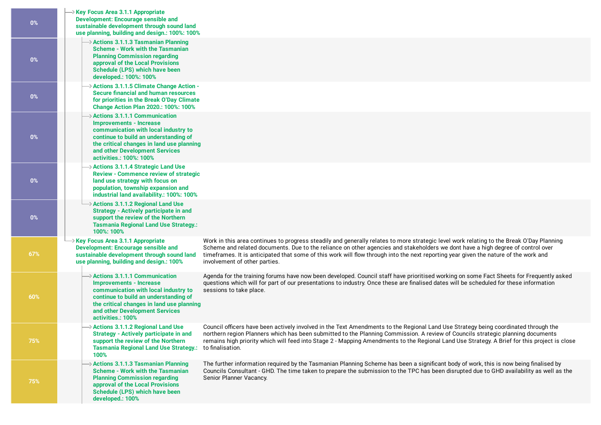| $0\%$ | $\rightarrow$ Key Focus Area 3.1.1 Appropriate<br><b>Development: Encourage sensible and</b><br>sustainable development through sound land<br>use planning, building and design.: 100%: 100%                                                                             |                                                                                                                                                                                                                                                                                                                                                                                                                                                      |
|-------|--------------------------------------------------------------------------------------------------------------------------------------------------------------------------------------------------------------------------------------------------------------------------|------------------------------------------------------------------------------------------------------------------------------------------------------------------------------------------------------------------------------------------------------------------------------------------------------------------------------------------------------------------------------------------------------------------------------------------------------|
| $0\%$ | $\rightarrow$ Actions 3.1.1.3 Tasmanian Planning<br><b>Scheme - Work with the Tasmanian</b><br><b>Planning Commission regarding</b><br>approval of the Local Provisions<br>Schedule (LPS) which have been<br>developed.: 100%: 100%                                      |                                                                                                                                                                                                                                                                                                                                                                                                                                                      |
| $0\%$ | $\rightarrow$ Actions 3.1.1.5 Climate Change Action -<br>Secure financial and human resources<br>for priorities in the Break O'Day Climate<br><b>Change Action Plan 2020.: 100%: 100%</b>                                                                                |                                                                                                                                                                                                                                                                                                                                                                                                                                                      |
| $0\%$ | $\rightarrow$ Actions 3.1.1.1 Communication<br><b>Improvements - Increase</b><br>communication with local industry to<br>continue to build an understanding of<br>the critical changes in land use planning<br>and other Development Services<br>activities.: 100%: 100% |                                                                                                                                                                                                                                                                                                                                                                                                                                                      |
| $0\%$ | $\rightarrow$ Actions 3.1.1.4 Strategic Land Use<br><b>Review - Commence review of strategic</b><br>land use strategy with focus on<br>population, township expansion and<br>industrial land availability.: 100%: 100%                                                   |                                                                                                                                                                                                                                                                                                                                                                                                                                                      |
| $0\%$ | $\rightarrow$ Actions 3.1.1.2 Regional Land Use<br>Strategy - Actively participate in and<br>support the review of the Northern<br><b>Tasmania Regional Land Use Strategy.:</b><br>100%: 100%                                                                            |                                                                                                                                                                                                                                                                                                                                                                                                                                                      |
| 67%   | $\rightarrow$ Key Focus Area 3.1.1 Appropriate<br><b>Development: Encourage sensible and</b><br>sustainable development through sound land<br>use planning, building and design.: 100%                                                                                   | Work in this area continues to progress steadily and generally relates to more strategic level work relating to the Break O'Day Planning<br>Scheme and related documents. Due to the reliance on other agencies and stakeholders we dont have a high degree of control over<br>timeframes. It is anticipated that some of this work will flow through into the next reporting year given the nature of the work and<br>involvement of other parties. |
| 60%   | $\rightarrow$ Actions 3.1.1.1 Communication<br><b>Improvements - Increase</b><br>communication with local industry to<br>continue to build an understanding of<br>the critical changes in land use planning<br>and other Development Services<br>activities.: 100%       | Agenda for the training forums have now been developed. Council staff have prioritised working on some Fact Sheets for Frequently asked<br>questions which will for part of our presentations to industry. Once these are finalised dates will be scheduled for these information<br>sessions to take place.                                                                                                                                         |
| 75%   | $\rightarrow$ Actions 3.1.1.2 Regional Land Use<br><b>Strategy - Actively participate in and</b><br>support the review of the Northern<br><b>Tasmania Regional Land Use Strategy.:</b><br>100%                                                                           | Council officers have been actively involved in the Text Amendments to the Regional Land Use Strategy being coordinated through the<br>northern region Planners which has been submitted to the Planning Commission. A review of Councils strategic planning documents<br>remains high priority which will feed into Stage 2 - Mapping Amendments to the Regional Land Use Strategy. A Brief for this project is close<br>to finalisation.           |
| 75%   | $\rightarrow$ Actions 3.1.1.3 Tasmanian Planning<br><b>Scheme - Work with the Tasmanian</b><br><b>Planning Commission regarding</b><br>approval of the Local Provisions<br>Schedule (LPS) which have been<br>developed.: 100%                                            | The further information required by the Tasmanian Planning Scheme has been a significant body of work, this is now being finalised by<br>Councils Consultant - GHD. The time taken to prepare the submission to the TPC has been disrupted due to GHD availability as well as the<br>Senior Planner Vacancy.                                                                                                                                         |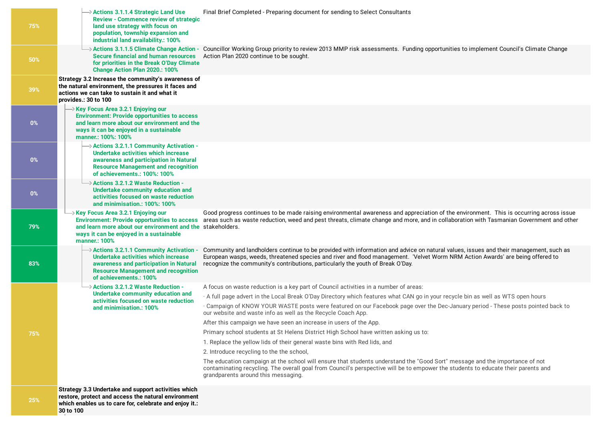| 75%        | $\rightarrow$ Actions 3.1.1.4 Strategic Land Use<br><b>Review - Commence review of strategic</b><br>land use strategy with focus on<br>population, township expansion and<br>industrial land availability.: 100%     | Final Brief Completed - Preparing document for sending to Select Consultants                                                                                                                                                                                                                                                                              |
|------------|----------------------------------------------------------------------------------------------------------------------------------------------------------------------------------------------------------------------|-----------------------------------------------------------------------------------------------------------------------------------------------------------------------------------------------------------------------------------------------------------------------------------------------------------------------------------------------------------|
| 50%        | → Actions 3.1.1.5 Climate Change Action -<br><b>Secure financial and human resources</b><br>for priorities in the Break O'Day Climate<br>Change Action Plan 2020.: 100%                                              | Councillor Working Group priority to review 2013 MMP risk assessments. Funding opportunities to implement Council's Climate Change<br>Action Plan 2020 continue to be sought.                                                                                                                                                                             |
| 39%        | Strategy 3.2 Increase the community's awareness of<br>the natural environment, the pressures it faces and<br>actions we can take to sustain it and what it<br>provides.: 30 to 100                                   |                                                                                                                                                                                                                                                                                                                                                           |
| 0%         | Xey Focus Area 3.2.1 Enjoying our<br><b>Environment: Provide opportunities to access</b><br>and learn more about our environment and the<br>ways it can be enjoyed in a sustainable<br>manner.: 100%: 100%           |                                                                                                                                                                                                                                                                                                                                                           |
| $0\%$      | $\rightarrow$ Actions 3.2.1.1 Community Activation -<br>Undertake activities which increase<br>awareness and participation in Natural<br><b>Resource Management and recognition</b><br>of achievements.: 100%: 100%  |                                                                                                                                                                                                                                                                                                                                                           |
| 0%         | $\rightarrow$ Actions 3.2.1.2 Waste Reduction -<br>Undertake community education and<br>activities focused on waste reduction<br>and minimisation.: 100%: 100%                                                       |                                                                                                                                                                                                                                                                                                                                                           |
| 79%        | → Key Focus Area 3.2.1 Enjoying our<br><b>Environment: Provide opportunities to access</b><br>and learn more about our environment and the stakeholders.<br>ways it can be enjoyed in a sustainable<br>manner.: 100% | Good progress continues to be made raising environmental awareness and appreciation of the environment. This is occurring across issue<br>areas such as waste reduction, weed and pest threats, climate change and more, and in collaboration with Tasmanian Government and other                                                                         |
| 83%        | $\rightarrow$ Actions 3.2.1.1 Community Activation -<br>Undertake activities which increase<br>awareness and participation in Natural<br><b>Resource Management and recognition</b><br>of achievements.: 100%        | Community and landholders continue to be provided with information and advice on natural values, issues and their management, such as<br>European wasps, weeds, threatened species and river and flood management. Velvet Worm NRM Action Awards' are being offered to<br>recognize the community's contributions, particularly the youth of Break O'Day. |
|            | → Actions 3.2.1.2 Waste Reduction -                                                                                                                                                                                  | A focus on waste reduction is a key part of Council activities in a number of areas:                                                                                                                                                                                                                                                                      |
|            | Undertake community education and<br>activities focused on waste reduction                                                                                                                                           | A full page advert in the Local Break O'Day Directory which features what CAN go in your recycle bin as well as WTS open hours                                                                                                                                                                                                                            |
|            | and minimisation.: 100%                                                                                                                                                                                              | · Campaign of KNOW YOUR WASTE posts were featured on our Facebook page over the Dec-January period - These posts pointed back to<br>our website and waste info as well as the Recycle Coach App.                                                                                                                                                          |
|            |                                                                                                                                                                                                                      | After this campaign we have seen an increase in users of the App.                                                                                                                                                                                                                                                                                         |
| 75%        |                                                                                                                                                                                                                      | Primary school students at St Helens District High School have written asking us to:                                                                                                                                                                                                                                                                      |
|            |                                                                                                                                                                                                                      | 1. Replace the yellow lids of their general waste bins with Red lids, and                                                                                                                                                                                                                                                                                 |
|            |                                                                                                                                                                                                                      | 2. Introduce recycling to the the school,                                                                                                                                                                                                                                                                                                                 |
|            |                                                                                                                                                                                                                      | The education campaign at the school will ensure that students understand the "Good Sort" message and the importance of not<br>contaminating recycling. The overall goal from Council's perspective will be to empower the students to educate their parents and<br>grandparents around this messaging.                                                   |
| <b>25%</b> | Strategy 3.3 Undertake and support activities which<br>restore, protect and access the natural environment<br>which enables us to care for, celebrate and enjoy it.:                                                 |                                                                                                                                                                                                                                                                                                                                                           |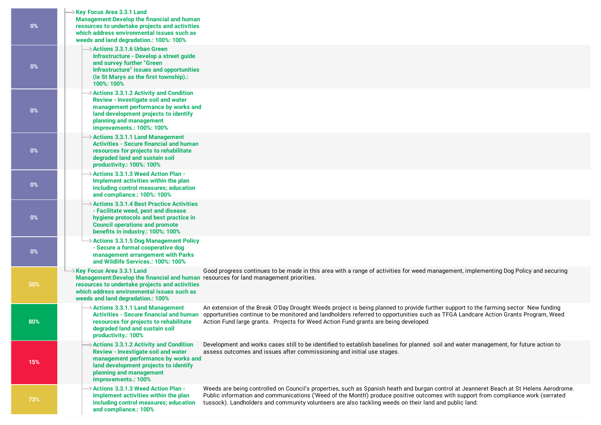| 0%    | $\rightarrow$ Key Focus Area 3.3.1 Land<br>Management: Develop the financial and human<br>resources to undertake projects and activities<br>which address environmental issues such as<br>weeds and land degradation.: 100%: 100%                         |                                                                                                                                                                                                                                                                                                                                                                                                          |
|-------|-----------------------------------------------------------------------------------------------------------------------------------------------------------------------------------------------------------------------------------------------------------|----------------------------------------------------------------------------------------------------------------------------------------------------------------------------------------------------------------------------------------------------------------------------------------------------------------------------------------------------------------------------------------------------------|
| 0%    | $\rightarrow$ Actions 3.3.1.6 Urban Green<br>Infrastructure - Develop a street guide<br>and survey further "Green<br>Infrastructure" issues and opportunities<br>(ie St Marys as the first township).:<br>100%: 100%                                      |                                                                                                                                                                                                                                                                                                                                                                                                          |
| $0\%$ | $\rightarrow$ Actions 3.3.1.2 Activity and Condition<br>Review - Investigate soil and water<br>management performance by works and<br>land development projects to identify<br>planning and management<br>improvements.: 100%: 100%                       |                                                                                                                                                                                                                                                                                                                                                                                                          |
| 0%    | $\rightarrow$ Actions 3.3.1.1 Land Management<br><b>Activities - Secure financial and human</b><br>resources for projects to rehabilitate<br>degraded land and sustain soil<br>productivity.: 100%: 100%                                                  |                                                                                                                                                                                                                                                                                                                                                                                                          |
| 0%    | > Actions 3.3.1.3 Weed Action Plan -<br>Implement activities within the plan<br>including control measures; education<br>and compliance.: 100%: 100%                                                                                                      |                                                                                                                                                                                                                                                                                                                                                                                                          |
| $0\%$ | $\rightarrow$ Actions 3.3.1.4 Best Practice Activities<br>- Facilitate weed, pest and disease<br>hygiene protocols and best practice in<br><b>Council operations and promote</b><br>benefits in industry.: 100%: 100%                                     |                                                                                                                                                                                                                                                                                                                                                                                                          |
| $0\%$ | $\rightarrow$ Actions 3.3.1.5 Dog Management Policy<br>- Secure a formal cooperative dog<br>management arrangement with Parks<br>and Wildlife Services.: 100%: 100%                                                                                       |                                                                                                                                                                                                                                                                                                                                                                                                          |
| 50%   | → Key Focus Area 3.3.1 Land<br>Management: Develop the financial and human resources for land management priorities.<br>resources to undertake projects and activities<br>which address environmental issues such as<br>weeds and land degradation.: 100% | Good progress continues to be made in this area with a range of activities for weed management, implementing Dog Policy and securing                                                                                                                                                                                                                                                                     |
| 80%   | $\rightarrow$ Actions 3.3.1.1 Land Management<br>resources for projects to rehabilitate<br>degraded land and sustain soil<br>productivity.: 100%                                                                                                          | An extension of the Break O'Day Drought Weeds project is being planned to provide further support to the farming sector New funding<br>Activities - Secure financial and human opportunities continue to be monitored and landholders referred to opportunities such as TFGA Landcare Action Grants Program, Weed<br>Action Fund large grants. Projects for Weed Action Fund grants are being developed. |
| 15%   | $\rightarrow$ Actions 3.3.1.2 Activity and Condition<br>Review - Investigate soil and water<br>management performance by works and<br>land development projects to identify<br>planning and management<br>improvements.: 100%                             | Development and works cases still to be identified to establish baselines for planned soil and water management, for future action to<br>assess outcomes and issues after commissioning and initial use stages.                                                                                                                                                                                          |
| 73%   | $\rightarrow$ Actions 3.3.1.3 Weed Action Plan -<br>Implement activities within the plan<br>including control measures; education<br>and compliance.: 100%                                                                                                | Weeds are being controlled on Council's properties, such as Spanish heath and burgan control at Jeanneret Beach at St Helens Aerodrome.<br>Public information and communications ('Weed of the Month') produce positive outcomes with support from compliance work (serrated<br>tussock). Landholders and community volunteers are also tackling weeds on their land and public land.                    |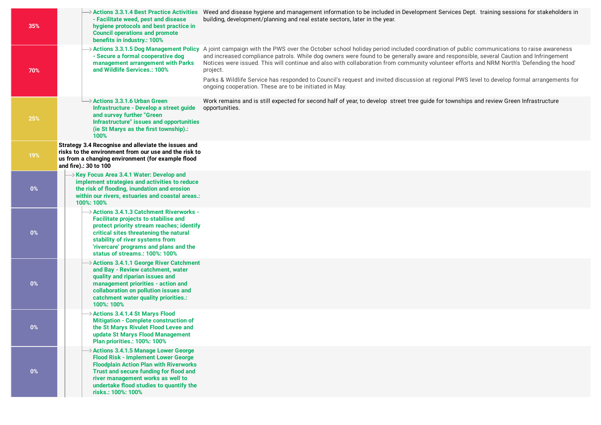| 35%   | - Facilitate weed, pest and disease<br>hygiene protocols and best practice in<br><b>Council operations and promote</b><br>benefits in industry.: 100%                                                                                                                                         | → Actions 3.3.1.4 Best Practice Activities Weed and disease hygiene and management information to be included in Development Services Dept. training sessions for stakeholders in<br>building, development/planning and real estate sectors, later in the year.                                                                                                                                                                                                                                                                                                                                                                                                                          |
|-------|-----------------------------------------------------------------------------------------------------------------------------------------------------------------------------------------------------------------------------------------------------------------------------------------------|------------------------------------------------------------------------------------------------------------------------------------------------------------------------------------------------------------------------------------------------------------------------------------------------------------------------------------------------------------------------------------------------------------------------------------------------------------------------------------------------------------------------------------------------------------------------------------------------------------------------------------------------------------------------------------------|
| 70%   | - Secure a formal cooperative dog<br>management arrangement with Parks<br>and Wildlife Services.: 100%                                                                                                                                                                                        | >Actions 3.3.1.5 Dog Management Policy A joint campaign with the PWS over the October school holiday period included coordination of public communications to raise awareness<br>and increased compliance patrols. While dog owners were found to be generally aware and responsible, several Caution and Infringement<br>Notices were issued. This will continue and also with collaboration from community volunteer efforts and NRM North's 'Defending the hood'<br>project.<br>Parks & Wildlife Service has responded to Council's request and invited discussion at regional PWS level to develop formal arrangements for<br>ongoing cooperation. These are to be initiated in May. |
| 25%   | $\rightarrow$ Actions 3.3.1.6 Urban Green<br>Infrastructure - Develop a street guide<br>and survey further "Green<br>Infrastructure" issues and opportunities<br>(ie St Marys as the first township).:<br>100%                                                                                | Work remains and is still expected for second half of year, to develop street tree quide for townships and review Green Infrastructure<br>opportunities.                                                                                                                                                                                                                                                                                                                                                                                                                                                                                                                                 |
| 19%   | Strategy 3.4 Recognise and alleviate the issues and<br>risks to the environment from our use and the risk to<br>us from a changing environment (for example flood<br>and fire).: 30 to 100                                                                                                    |                                                                                                                                                                                                                                                                                                                                                                                                                                                                                                                                                                                                                                                                                          |
| $0\%$ | $\rightarrow$ Key Focus Area 3.4.1 Water: Develop and<br>implement strategies and activities to reduce<br>the risk of flooding, inundation and erosion<br>within our rivers, estuaries and coastal areas.:<br>100%: 100%                                                                      |                                                                                                                                                                                                                                                                                                                                                                                                                                                                                                                                                                                                                                                                                          |
| $0\%$ | → Actions 3.4.1.3 Catchment Riverworks -<br><b>Facilitate projects to stabilise and</b><br>protect priority stream reaches; identify<br>critical sites threatening the natural<br>stability of river systems from<br>'rivercare' programs and plans and the<br>status of streams.: 100%: 100% |                                                                                                                                                                                                                                                                                                                                                                                                                                                                                                                                                                                                                                                                                          |
| $0\%$ | > Actions 3.4.1.1 George River Catchment<br>and Bay - Review catchment, water<br>quality and riparian issues and<br>management priorities - action and<br>collaboration on pollution issues and<br>catchment water quality priorities.:<br>100%: 100%                                         |                                                                                                                                                                                                                                                                                                                                                                                                                                                                                                                                                                                                                                                                                          |
| $0\%$ | Actions 3.4.1.4 St Marys Flood<br><b>Mitigation - Complete construction of</b><br>the St Marys Rivulet Flood Levee and<br>update St Marys Flood Management<br>Plan priorities.: 100%: 100%                                                                                                    |                                                                                                                                                                                                                                                                                                                                                                                                                                                                                                                                                                                                                                                                                          |
| 0%    | > Actions 3.4.1.5 Manage Lower George<br><b>Flood Risk - Implement Lower George</b><br><b>Floodplain Action Plan with Riverworks</b><br>Trust and secure funding for flood and<br>river management works as well to<br>undertake flood studies to quantify the<br>risks.: 100%: 100%          |                                                                                                                                                                                                                                                                                                                                                                                                                                                                                                                                                                                                                                                                                          |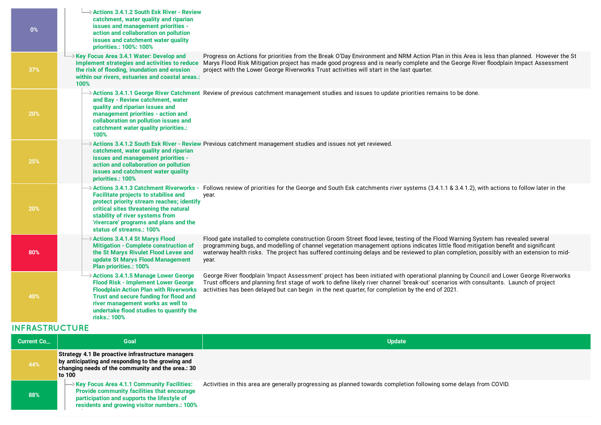| $0\%$           | $\rightarrow$ Actions 3.4.1.2 South Esk River - Review<br>catchment, water quality and riparian<br>issues and management priorities -<br>action and collaboration on pollution<br>issues and catchment water quality<br>priorities.: 100%: 100%                                         |                                                                                                                                                                                                                                                                                                                                                                                                                             |
|-----------------|-----------------------------------------------------------------------------------------------------------------------------------------------------------------------------------------------------------------------------------------------------------------------------------------|-----------------------------------------------------------------------------------------------------------------------------------------------------------------------------------------------------------------------------------------------------------------------------------------------------------------------------------------------------------------------------------------------------------------------------|
| 37%             | $\rightarrow$ Key Focus Area 3.4.1 Water: Develop and<br>the risk of flooding, inundation and erosion<br>within our rivers, estuaries and coastal areas.:<br>100%                                                                                                                       | Progress on Actions for priorities from the Break O'Day Environment and NRM Action Plan in this Area is less than planned. However the St<br>implement strategies and activities to reduce Marys Flood Risk Mitigation project has made good progress and is nearly complete and the George River floodplain Impact Assessment<br>project with the Lower George Riverworks Trust activities will start in the last quarter. |
| 20%             | and Bay - Review catchment, water<br>quality and riparian issues and<br>management priorities - action and<br>collaboration on pollution issues and<br>catchment water quality priorities.:<br>100%                                                                                     | > Actions 3.4.1.1 George River Catchment Review of previous catchment management studies and issues to update priorities remains to be done.                                                                                                                                                                                                                                                                                |
| 25%             | catchment, water quality and riparian<br>issues and management priorities -<br>action and collaboration on pollution<br>issues and catchment water quality<br>priorities.: 100%                                                                                                         | $\delta$ Actions 3.4.1.2 South Esk River - Review Previous catchment management studies and issues not yet reviewed.                                                                                                                                                                                                                                                                                                        |
| 20%             | > Actions 3.4.1.3 Catchment Riverworks -<br><b>Facilitate projects to stabilise and</b><br>protect priority stream reaches; identify<br>critical sites threatening the natural<br>stability of river systems from<br>'rivercare' programs and plans and the<br>status of streams.: 100% | Follows review of priorities for the George and South Esk catchments river systems (3.4.1.1 & 3.4.1.2), with actions to follow later in the<br>year.                                                                                                                                                                                                                                                                        |
| 80%             | → Actions 3.4.1.4 St Marys Flood<br>Mitigation - Complete construction of<br>the St Marys Rivulet Flood Levee and<br>update St Marys Flood Management<br>Plan priorities.: 100%                                                                                                         | Flood gate installed to complete construction Groom Street flood levee, testing of the Flood Warning System has revealed several<br>programming bugs, and modelling of channel vegetation management options indicates little flood mitigation benefit and significant<br>waterway health risks. The project has suffered continuing delays and be reviewed to plan completion, possibly with an extension to mid-<br>year. |
| 40%             | > Actions 3.4.1.5 Manage Lower George<br><b>Flood Risk - Implement Lower George</b><br><b>Floodplain Action Plan with Riverworks</b><br>Trust and secure funding for flood and<br>river management works as well to<br>undertake flood studies to quantify the<br>risks.: 100%          | George River floodplain 'Impact Assessment' project has been initiated with operational planning by Council and Lower George Riverworks<br>Trust officers and planning first stage of work to define likely river channel 'break-out' scenarios with consultants. Launch of project<br>activities has been delayed but can begin in the next quarter, for completion by the end of 2021.                                    |
| [0.027010T110E] |                                                                                                                                                                                                                                                                                         |                                                                                                                                                                                                                                                                                                                                                                                                                             |

## **INFRASTRUCTURE**

| <b>Current Co</b> | Goal                                                                                                                                                                                                   | <b>Update</b>                                                                                                     |
|-------------------|--------------------------------------------------------------------------------------------------------------------------------------------------------------------------------------------------------|-------------------------------------------------------------------------------------------------------------------|
| 44%               | Strategy 4.1 Be proactive infrastructure managers<br>by anticipating and responding to the growing and<br>changing needs of the community and the area.: 30<br>to 100                                  |                                                                                                                   |
| 88%               | $\rightarrow$ Key Focus Area 4.1.1 Community Facilities:<br>Provide community facilities that encourage<br>participation and supports the lifestyle of<br>residents and growing visitor numbers.: 100% | Activities in this area are generally progressing as planned towards completion following some delays from COVID. |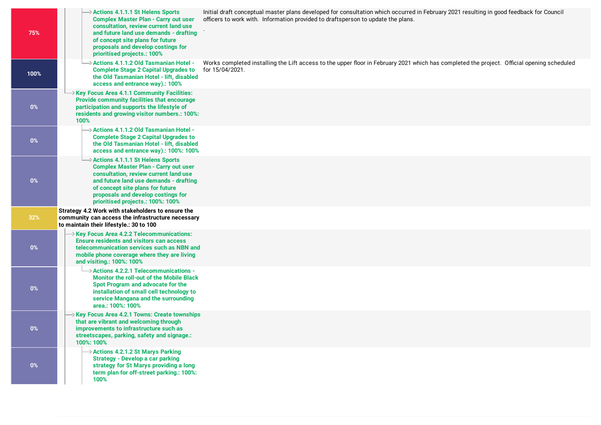| 75%   | $\rightarrow$ Actions 4.1.1.1 St Helens Sports<br><b>Complex Master Plan - Carry out user</b><br>consultation, review current land use<br>and future land use demands - drafting<br>of concept site plans for future<br>proposals and develop costings for<br>prioritised projects.: 100% | Initial draft conceptual master plans developed for consultation which occurred in February 2021 resulting in good feedback for Council<br>officers to work with. Information provided to draftsperson to update the plans. |
|-------|-------------------------------------------------------------------------------------------------------------------------------------------------------------------------------------------------------------------------------------------------------------------------------------------|-----------------------------------------------------------------------------------------------------------------------------------------------------------------------------------------------------------------------------|
| 100%  | → Actions 4.1.1.2 Old Tasmanian Hotel -<br><b>Complete Stage 2 Capital Upgrades to</b><br>the Old Tasmanian Hotel - lift, disabled<br>access and entrance way).: 100%                                                                                                                     | Works completed installing the Lift access to the upper floor in February 2021 which has completed the project. Official opening scheduled<br>for 15/04/2021.                                                               |
| $0\%$ | Xey Focus Area 4.1.1 Community Facilities:<br>Provide community facilities that encourage<br>participation and supports the lifestyle of<br>residents and growing visitor numbers.: 100%:<br>100%                                                                                         |                                                                                                                                                                                                                             |
| 0%    | $\rightarrow$ Actions 4.1.1.2 Old Tasmanian Hotel -<br><b>Complete Stage 2 Capital Upgrades to</b><br>the Old Tasmanian Hotel - lift, disabled<br>access and entrance way).: 100%: 100%                                                                                                   |                                                                                                                                                                                                                             |
| $0\%$ | → Actions 4.1.1.1 St Helens Sports<br><b>Complex Master Plan - Carry out user</b><br>consultation, review current land use<br>and future land use demands - drafting<br>of concept site plans for future<br>proposals and develop costings for<br>prioritised projects.: 100%: 100%       |                                                                                                                                                                                                                             |
| 32%   | Strategy 4.2 Work with stakeholders to ensure the<br>community can access the infrastructure necessary<br>to maintain their lifestyle.: 30 to 100                                                                                                                                         |                                                                                                                                                                                                                             |
| $0\%$ | $\rightarrow$ Key Focus Area 4.2.2 Telecommunications:<br><b>Ensure residents and visitors can access</b><br>telecommunication services such as NBN and<br>mobile phone coverage where they are living<br>and visiting.: 100%: 100%                                                       |                                                                                                                                                                                                                             |
| $0\%$ | $\rightarrow$ Actions 4.2.2.1 Telecommunications -<br><b>Monitor the roll-out of the Mobile Black</b><br>Spot Program and advocate for the<br>installation of small cell technology to<br>service Mangana and the surrounding<br>area.: 100%: 100%                                        |                                                                                                                                                                                                                             |
| $0\%$ | → Key Focus Area 4.2.1 Towns: Create townships<br>that are vibrant and welcoming through<br>improvements to infrastructure such as<br>streetscapes, parking, safety and signage.:<br>100%: 100%                                                                                           |                                                                                                                                                                                                                             |
| $0\%$ | $\rightarrow$ Actions 4.2.1.2 St Marys Parking<br><b>Strategy - Develop a car parking</b><br>strategy for St Marys providing a long<br>term plan for off-street parking.: 100%:<br>100%                                                                                                   |                                                                                                                                                                                                                             |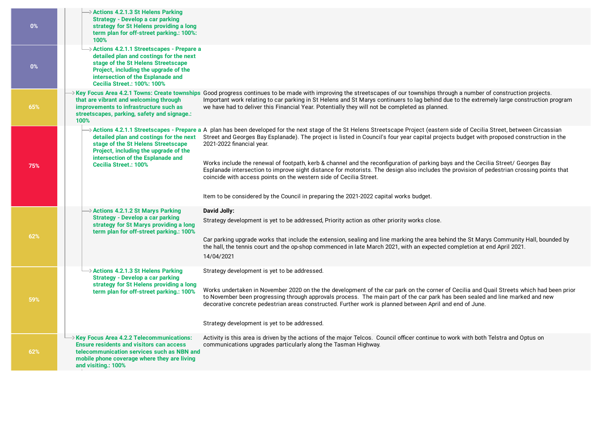| $0\%$ | > Actions 4.2.1.3 St Helens Parking<br><b>Strategy - Develop a car parking</b><br>strategy for St Helens providing a long<br>term plan for off-street parking.: 100%:<br>100%                                                                   |                                                                                                                                                                                                                                                                                                                                                                                                                                                                                                                                                                                                                                                                                                                                                                                                            |
|-------|-------------------------------------------------------------------------------------------------------------------------------------------------------------------------------------------------------------------------------------------------|------------------------------------------------------------------------------------------------------------------------------------------------------------------------------------------------------------------------------------------------------------------------------------------------------------------------------------------------------------------------------------------------------------------------------------------------------------------------------------------------------------------------------------------------------------------------------------------------------------------------------------------------------------------------------------------------------------------------------------------------------------------------------------------------------------|
| $0\%$ | > Actions 4.2.1.1 Streetscapes - Prepare a<br>detailed plan and costings for the next<br>stage of the St Helens Streetscape<br>Project, including the upgrade of the<br>intersection of the Esplanade and<br><b>Cecilia Street.: 100%: 100%</b> |                                                                                                                                                                                                                                                                                                                                                                                                                                                                                                                                                                                                                                                                                                                                                                                                            |
| 65%   | that are vibrant and welcoming through<br>improvements to infrastructure such as<br>streetscapes, parking, safety and signage.:<br>100%                                                                                                         | → Key Focus Area 4.2.1 Towns: Create townships Good progress continues to be made with improving the streetscapes of our townships through a number of construction projects.<br>Important work relating to car parking in St Helens and St Marys continuers to lag behind due to the extremely large construction program<br>we have had to deliver this Financial Year. Potentially they will not be completed as planned.                                                                                                                                                                                                                                                                                                                                                                               |
| 75%   | detailed plan and costings for the next<br>stage of the St Helens Streetscape<br>Project, including the upgrade of the<br>intersection of the Esplanade and<br><b>Cecilia Street.: 100%</b>                                                     | >Actions 4.2.1.1 Streetscapes - Prepare a A plan has been developed for the next stage of the St Helens Streetscape Project (eastern side of Cecilia Street, between Circassian<br>Street and Georges Bay Esplanade). The project is listed in Council's four year capital projects budget with proposed construction in the<br>2021-2022 financial year.<br>Works include the renewal of footpath, kerb & channel and the reconfiguration of parking bays and the Cecilia Street/ Georges Bay<br>Esplanade intersection to improve sight distance for motorists. The design also includes the provision of pedestrian crossing points that<br>coincide with access points on the western side of Cecilia Street.<br>Item to be considered by the Council in preparing the 2021-2022 capital works budget. |
| 62%   | $\rightarrow$ Actions 4.2.1.2 St Marys Parking<br><b>Strategy - Develop a car parking</b><br>strategy for St Marys providing a long<br>term plan for off-street parking.: 100%                                                                  | David Jolly:<br>Strategy development is yet to be addressed, Priority action as other priority works close.<br>Car parking upgrade works that include the extension, sealing and line marking the area behind the St Marys Community Hall, bounded by<br>the hall, the tennis court and the op-shop commenced in late March 2021, with an expected completion at end April 2021.<br>14/04/2021                                                                                                                                                                                                                                                                                                                                                                                                             |
| 59%   | $\rightarrow$ Actions 4.2.1.3 St Helens Parking<br><b>Strategy - Develop a car parking</b><br>strategy for St Helens providing a long<br>term plan for off-street parking.: 100%                                                                | Strategy development is yet to be addressed.<br>Works undertaken in November 2020 on the the development of the car park on the corner of Cecilia and Quail Streets which had been prior<br>to November been progressing through approvals process. The main part of the car park has been sealed and line marked and new<br>decorative concrete pedestrian areas constructed. Further work is planned between April and end of June.<br>Strategy development is yet to be addressed.                                                                                                                                                                                                                                                                                                                      |
| 62%   | $\rightarrow$ Key Focus Area 4.2.2 Telecommunications:<br><b>Ensure residents and visitors can access</b><br>telecommunication services such as NBN and<br>mobile phone coverage where they are living<br>and visiting.: 100%                   | Activity is this area is driven by the actions of the major Telcos. Council officer continue to work with both Telstra and Optus on<br>communications upgrades particularly along the Tasman Highway.                                                                                                                                                                                                                                                                                                                                                                                                                                                                                                                                                                                                      |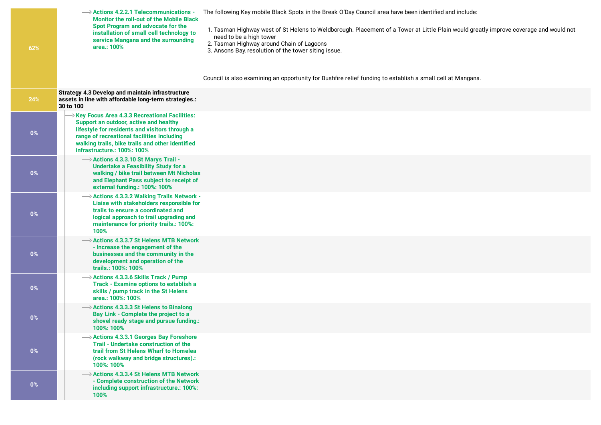| 62%   | $\rightarrow$ Actions 4.2.2.1 Telecommunications -<br>The following Key mobile Black Spots in the Break O'Day Council area have been identified and include:<br><b>Monitor the roll-out of the Mobile Black</b><br>Spot Program and advocate for the<br>1. Tasman Highway west of St Helens to Weldborough. Placement of a Tower at Little Plain would greatly improve coverage and would not<br>installation of small cell technology to<br>need to be a high tower<br>service Mangana and the surrounding<br>2. Tasman Highway around Chain of Lagoons<br>area.: 100%<br>3. Ansons Bay, resolution of the tower siting issue.<br>Council is also examining an opportunity for Bushfire relief funding to establish a small cell at Mangana. |
|-------|-----------------------------------------------------------------------------------------------------------------------------------------------------------------------------------------------------------------------------------------------------------------------------------------------------------------------------------------------------------------------------------------------------------------------------------------------------------------------------------------------------------------------------------------------------------------------------------------------------------------------------------------------------------------------------------------------------------------------------------------------|
| 24%   | <b>Strategy 4.3 Develop and maintain infrastructure</b><br>assets in line with affordable long-term strategies.:<br>30 to 100                                                                                                                                                                                                                                                                                                                                                                                                                                                                                                                                                                                                                 |
| $0\%$ | $\rightarrow$ Key Focus Area 4.3.3 Recreational Facilities:<br>Support an outdoor, active and healthy<br>lifestyle for residents and visitors through a<br>range of recreational facilities including<br>walking trails, bike trails and other identified<br>infrastructure.: 100%: 100%                                                                                                                                                                                                                                                                                                                                                                                                                                                      |
| $0\%$ | $\rightarrow$ Actions 4.3.3.10 St Marys Trail -<br><b>Undertake a Feasibility Study for a</b><br>walking / bike trail between Mt Nicholas<br>and Elephant Pass subject to receipt of<br>external funding.: 100%: 100%                                                                                                                                                                                                                                                                                                                                                                                                                                                                                                                         |
| $0\%$ | $\rightarrow$ Actions 4.3.3.2 Walking Trails Network -<br>Liaise with stakeholders responsible for<br>trails to ensure a coordinated and<br>logical approach to trail upgrading and<br>maintenance for priority trails.: 100%:<br>100%                                                                                                                                                                                                                                                                                                                                                                                                                                                                                                        |
| $0\%$ | > Actions 4.3.3.7 St Helens MTB Network<br>- Increase the engagement of the<br>businesses and the community in the<br>development and operation of the<br>trails.: 100%: 100%                                                                                                                                                                                                                                                                                                                                                                                                                                                                                                                                                                 |
| $0\%$ | $\rightarrow$ Actions 4.3.3.6 Skills Track / Pump<br>Track - Examine options to establish a<br>skills / pump track in the St Helens<br>area.: 100%: 100%                                                                                                                                                                                                                                                                                                                                                                                                                                                                                                                                                                                      |
| $0\%$ | $\rightarrow$ Actions 4.3.3.3 St Helens to Binalong<br>Bay Link - Complete the project to a<br>shovel ready stage and pursue funding.:<br>100%: 100%                                                                                                                                                                                                                                                                                                                                                                                                                                                                                                                                                                                          |
| $0\%$ | $\rightarrow$ Actions 4.3.3.1 Georges Bay Foreshore<br>Trail - Undertake construction of the<br>trail from St Helens Wharf to Homelea<br>(rock walkway and bridge structures).:<br>100%: 100%                                                                                                                                                                                                                                                                                                                                                                                                                                                                                                                                                 |
| $0\%$ | $\rightarrow$ Actions 4.3.3.4 St Helens MTB Network<br>- Complete construction of the Network<br>including support infrastructure.: 100%:<br>100%                                                                                                                                                                                                                                                                                                                                                                                                                                                                                                                                                                                             |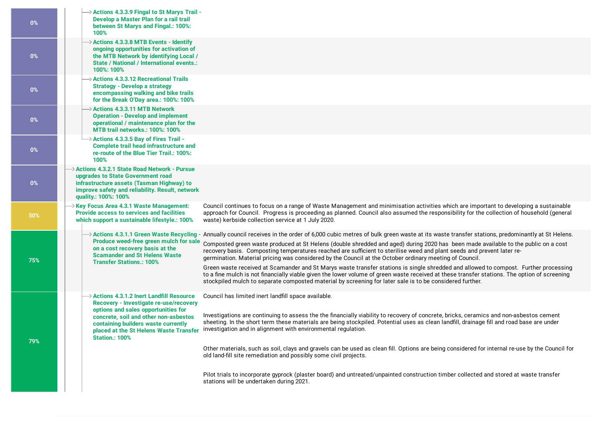| 0%    | $\rightarrow$ Actions 4.3.3.9 Fingal to St Marys Trail -<br>Develop a Master Plan for a rail trail<br>between St Marys and Fingal.: 100%:<br>100%                                                                                               |                                                                                                                                                                                                                                                                                                                                                                                                                                                                                                                                                                                                                                                                                                                                                                                                                                                                                                                               |
|-------|-------------------------------------------------------------------------------------------------------------------------------------------------------------------------------------------------------------------------------------------------|-------------------------------------------------------------------------------------------------------------------------------------------------------------------------------------------------------------------------------------------------------------------------------------------------------------------------------------------------------------------------------------------------------------------------------------------------------------------------------------------------------------------------------------------------------------------------------------------------------------------------------------------------------------------------------------------------------------------------------------------------------------------------------------------------------------------------------------------------------------------------------------------------------------------------------|
| $0\%$ | $\rightarrow$ Actions 4.3.3.8 MTB Events - Identify<br>ongoing opportunities for activation of<br>the MTB Network by identifying Local /<br>State / National / International events.:<br>100%: 100%                                             |                                                                                                                                                                                                                                                                                                                                                                                                                                                                                                                                                                                                                                                                                                                                                                                                                                                                                                                               |
| $0\%$ | $\rightarrow$ Actions 4.3.3.12 Recreational Trails<br><b>Strategy - Develop a strategy</b><br>encompassing walking and bike trails<br>for the Break O'Day area.: 100%: 100%                                                                     |                                                                                                                                                                                                                                                                                                                                                                                                                                                                                                                                                                                                                                                                                                                                                                                                                                                                                                                               |
| 0%    | $\rightarrow$ Actions 4.3.3.11 MTB Network<br><b>Operation - Develop and implement</b><br>operational / maintenance plan for the<br><b>MTB trail networks.: 100%: 100%</b>                                                                      |                                                                                                                                                                                                                                                                                                                                                                                                                                                                                                                                                                                                                                                                                                                                                                                                                                                                                                                               |
| $0\%$ | $\rightarrow$ Actions 4.3.3.5 Bay of Fires Trail -<br><b>Complete trail head infrastructure and</b><br>re-route of the Blue Tier Trail.: 100%:<br>100%                                                                                          |                                                                                                                                                                                                                                                                                                                                                                                                                                                                                                                                                                                                                                                                                                                                                                                                                                                                                                                               |
| $0\%$ | > Actions 4.3.2.1 State Road Network - Pursue<br>upgrades to State Government road<br>infrastructure assets (Tasman Highway) to<br>improve safety and reliability. Result, network<br>quality.: 100%: 100%                                      |                                                                                                                                                                                                                                                                                                                                                                                                                                                                                                                                                                                                                                                                                                                                                                                                                                                                                                                               |
| 50%   | $\rightarrow$ Key Focus Area 4.3.1 Waste Management:<br><b>Provide access to services and facilities</b><br>which support a sustainable lifestyle.: 100%                                                                                        | Council continues to focus on a range of Waste Management and minimisation activities which are important to developing a sustainable<br>approach for Council. Progress is proceeding as planned. Council also assumed the responsibility for the collection of household (general<br>waste) kerbside collection service at 1 July 2020.                                                                                                                                                                                                                                                                                                                                                                                                                                                                                                                                                                                      |
| 75%   | $\rightarrow$ Actions 4.3.1.1 Green Waste Recycling<br>Produce weed-free green mulch for sale<br>on a cost recovery basis at the<br><b>Scamander and St Helens Waste</b><br><b>Transfer Stations.: 100%</b>                                     | - Annually council receives in the order of 6,000 cubic metres of bulk green waste at its waste transfer stations, predominantly at St Helens.<br>Composted green waste produced at St Helens (double shredded and aged) during 2020 has been made available to the public on a cost<br>recovery basis. Composting temperatures reached are sufficient to sterilise weed and plant seeds and prevent later re-<br>germination. Material pricing was considered by the Council at the October ordinary meeting of Council.<br>Green waste received at Scamander and St Marys waste transfer stations is single shredded and allowed to compost. Further processing<br>to a fine mulch is not financially viable given the lower volume of green waste received at these transfer stations. The option of screening<br>stockpiled mulch to separate composted material by screening for later sale is to be considered further. |
| 79%   | $\rightarrow$ Actions 4.3.1.2 Inert Landfill Resource<br>Recovery - Investigate re-use/recovery<br>options and sales opportunities for<br>concrete, soil and other non-asbestos<br>containing builders waste currently<br><b>Station.: 100%</b> | Council has limited inert landfill space available.<br>Investigations are continuing to assess the the financially viability to recovery of concrete, bricks, ceramics and non-asbestos cement<br>sheeting. In the short term these materials are being stockpiled. Potential uses as clean landfill, drainage fill and road base are under<br>placed at the St Helens Waste Transfer investigation and in alignment with environmental regulation.<br>Other materials, such as soil, clays and gravels can be used as clean fill. Options are being considered for internal re-use by the Council for<br>old land-fill site remediation and possibly some civil projects.                                                                                                                                                                                                                                                    |
|       |                                                                                                                                                                                                                                                 | Pilot trials to incorporate gyprock (plaster board) and untreated/unpainted construction timber collected and stored at waste transfer<br>stations will be undertaken during 2021.                                                                                                                                                                                                                                                                                                                                                                                                                                                                                                                                                                                                                                                                                                                                            |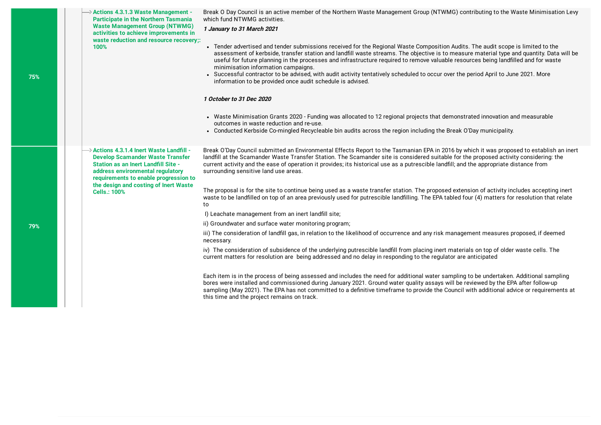**Actions 4.3.1.3 Waste Management - Participate in the Northern Tasmania Waste Management Group (NTWMG) activities to achieve [improvements](https://breakoday.executestrategy.net/user/goals/99) in waste reduction and resource recovery;: 100%**

Break O Day Council is an active member of the Northern Waste Management Group (NTWMG) contributing to the Waste Minimisation Levy which fund NTWMG activities.

**1 January to 31 March 2021**

- Tender advertised and tender submissions received for the Regional Waste Composition Audits. The audit scope is limited to the assessment of kerbside, transfer station and landfill waste streams. The objective is to measure material type and quantity. Data will be useful for future planning in the processes and infrastructure required to remove valuable resources being landfilled and for waste minimisation information campaigns.
- Successful contractor to be advised, with audit activity tentatively scheduled to occur over the period April to June 2021. More information to be provided once audit schedule is advised.

#### **1 October to 31 Dec 2020**

- Waste Minimisation Grants 2020 Funding was allocated to 12 regional projects that demonstrated innovation and measurable outcomes in waste reduction and re-use.
- Conducted Kerbside Co-mingled Recycleable bin audits across the region including the Break O'Day municipality.

Break O'Day Council submitted an Environmental Effects Report to the Tasmanian EPA in 2016 by which it was proposed to establish an inert landfill at the Scamander Waste Transfer Station. The Scamander site is considered suitable for the proposed activity considering: the current activity and the ease of operation it provides; its historical use as a putrescible landfill; and the appropriate distance from surrounding sensitive land use areas.

The proposal is for the site to continue being used as a waste transfer station. The proposed extension of activity includes accepting inert waste to be landfilled on top of an area previously used for putrescible landfilling. The EPA tabled four (4) matters for resolution that relate to

I) Leachate management from an inert landfill site:

ii) Groundwater and surface water monitoring program;

iii) The consideration of landfill gas, in relation to the likelihood of occurrence and any risk management measures proposed, if deemed necessary.

iv) The consideration of subsidence of the underlying putrescible landfill from placing inert materials on top of older waste cells. The current matters for resolution are being addressed and no delay in responding to the regulator are anticipated

Each item is in the process of being assessed and includes the need for additional water sampling to be undertaken. Additional sampling bores were installed and commissioned during January 2021. Ground water quality assays will be reviewed by the EPA after follow-up sampling (May 2021). The EPA has not committed to a definitive timeframe to provide the Council with additional advice or requirements at this time and the project remains on track.

 $\rightarrow$  Actions 4.3.1.4 Inert Waste Landfill -**Develop Scamander Waste Transfer Station as an Inert Landll Site address [environmental](https://breakoday.executestrategy.net/user/goals/100) regulatory requirements to enable progression to the design and costing of Inert Waste Cells.: 100%**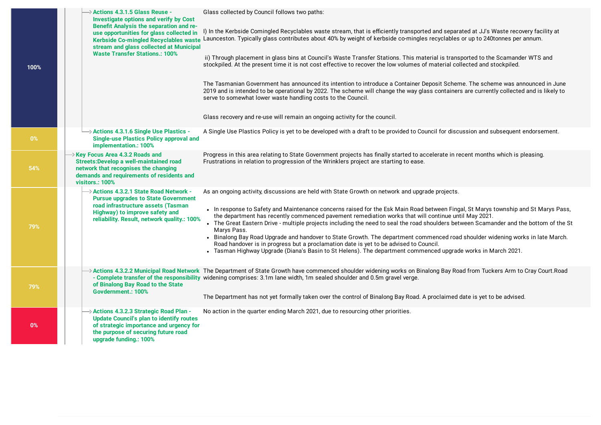| 100%  | > Actions 4.3.1.5 Glass Reuse -<br><b>Investigate options and verify by Cost</b><br><b>Benefit Analysis the separation and re-</b><br>use opportunities for glass collected in<br><b>Kerbside Co-mingled Recyclables waste</b><br>stream and glass collected at Municipal<br><b>Waste Transfer Stations.: 100%</b> | Glass collected by Council follows two paths:<br>I) In the Kerbside Comingled Recyclables waste stream, that is efficiently transported and separated at JJ's Waste recovery facility at<br>Launceston. Typically glass contributes about 40% by weight of kerbside co-mingles recyclables or up to 240tonnes per annum.<br>ii) Through placement in glass bins at Council's Waste Transfer Stations. This material is transported to the Scamander WTS and<br>stockpiled. At the present time it is not cost effective to recover the low volumes of material collected and stockpiled.                                                                                                                                                                                                                                                         |
|-------|--------------------------------------------------------------------------------------------------------------------------------------------------------------------------------------------------------------------------------------------------------------------------------------------------------------------|--------------------------------------------------------------------------------------------------------------------------------------------------------------------------------------------------------------------------------------------------------------------------------------------------------------------------------------------------------------------------------------------------------------------------------------------------------------------------------------------------------------------------------------------------------------------------------------------------------------------------------------------------------------------------------------------------------------------------------------------------------------------------------------------------------------------------------------------------|
|       |                                                                                                                                                                                                                                                                                                                    | The Tasmanian Government has announced its intention to introduce a Container Deposit Scheme. The scheme was announced in June<br>2019 and is intended to be operational by 2022. The scheme will change the way glass containers are currently collected and is likely to<br>serve to somewhat lower waste handling costs to the Council.<br>Glass recovery and re-use will remain an ongoing activity for the council.                                                                                                                                                                                                                                                                                                                                                                                                                         |
| $0\%$ | → Actions 4.3.1.6 Single Use Plastics -<br><b>Single-use Plastics Policy approval and</b><br>implementation.: 100%                                                                                                                                                                                                 | A Single Use Plastics Policy is yet to be developed with a draft to be provided to Council for discussion and subsequent endorsement.                                                                                                                                                                                                                                                                                                                                                                                                                                                                                                                                                                                                                                                                                                            |
| 54%   | $\rightarrow$ Key Focus Area 4.3.2 Roads and<br><b>Streets:Develop a well-maintained road</b><br>network that recognises the changing<br>demands and requirements of residents and<br>visitors.: 100%                                                                                                              | Progress in this area relating to State Government projects has finally started to accelerate in recent months which is pleasing.<br>Frustrations in relation to progression of the Wrinklers project are starting to ease.                                                                                                                                                                                                                                                                                                                                                                                                                                                                                                                                                                                                                      |
| 79%   | $\rightarrow$ Actions 4.3.2.1 State Road Network -<br><b>Pursue upgrades to State Government</b><br>road infrastructure assets (Tasman<br>Highway) to improve safety and<br>reliability. Result, network quality.: 100%                                                                                            | As an ongoing activity, discussions are held with State Growth on network and upgrade projects.<br>• In response to Safety and Maintenance concerns raised for the Esk Main Road between Fingal, St Marys township and St Marys Pass,<br>the department has recently commenced pavement remediation works that will continue until May 2021.<br>• The Great Eastern Drive - multiple projects including the need to seal the road shoulders between Scamander and the bottom of the St<br>Marys Pass.<br>• Binalong Bay Road Upgrade and handover to State Growth. The department commenced road shoulder widening works in late March.<br>Road handover is in progress but a proclamation date is yet to be advised to Council.<br>- Tasman Highway Upgrade (Diana's Basin to St Helens). The department commenced upgrade works in March 2021. |
| 79%   | of Binalong Bay Road to the State<br>Govdernment.: 100%                                                                                                                                                                                                                                                            | → Actions 4.3.2.2 Municipal Road Network The Department of State Growth have commenced shoulder widening works on Binalong Bay Road from Tuckers Arm to Cray Court.Road<br>- Complete transfer of the responsibility widening comprises: 3.1m lane width, 1m sealed shoulder and 0.5m gravel verge.<br>The Department has not yet formally taken over the control of Binalong Bay Road. A proclaimed date is yet to be advised.                                                                                                                                                                                                                                                                                                                                                                                                                  |
| 0%    | → Actions 4.3.2.3 Strategic Road Plan -<br><b>Update Council's plan to identify routes</b><br>of strategic importance and urgency for<br>the purpose of securing future road<br>upgrade funding.: 100%                                                                                                             | No action in the quarter ending March 2021, due to resourcing other priorities.                                                                                                                                                                                                                                                                                                                                                                                                                                                                                                                                                                                                                                                                                                                                                                  |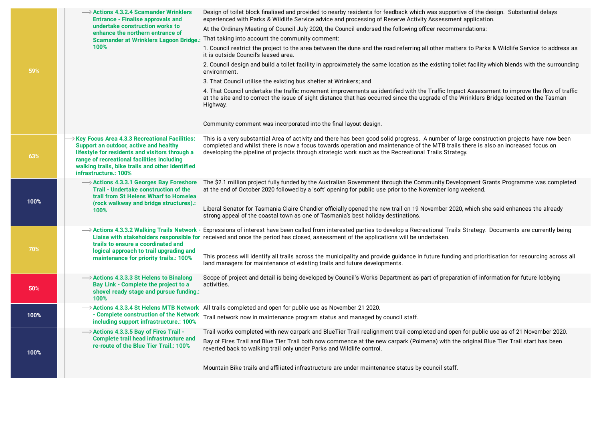|      | $\rightarrow$ Actions 4.3.2.4 Scamander Wrinklers<br><b>Entrance - Finalise approvals and</b><br>undertake construction works to                                                                                                                                                   | Design of toilet block finalised and provided to nearby residents for feedback which was supportive of the design. Substantial delays<br>experienced with Parks & Wildlife Service advice and processing of Reserve Activity Assessment application.<br>At the Ordinary Meeting of Council July 2020, the Council endorsed the following officer recommendations:                                                                                                                             |
|------|------------------------------------------------------------------------------------------------------------------------------------------------------------------------------------------------------------------------------------------------------------------------------------|-----------------------------------------------------------------------------------------------------------------------------------------------------------------------------------------------------------------------------------------------------------------------------------------------------------------------------------------------------------------------------------------------------------------------------------------------------------------------------------------------|
|      | enhance the northern entrance of                                                                                                                                                                                                                                                   | That taking into account the community comment:                                                                                                                                                                                                                                                                                                                                                                                                                                               |
|      | <b>Scamander at Wrinklers Lagoon Bridge.:</b><br>100%                                                                                                                                                                                                                              | 1. Council restrict the project to the area between the dune and the road referring all other matters to Parks & Wildlife Service to address as<br>it is outside Council's leased area.                                                                                                                                                                                                                                                                                                       |
| 59%  |                                                                                                                                                                                                                                                                                    | 2. Council design and build a toilet facility in approximately the same location as the existing toilet facility which blends with the surrounding<br>environment.                                                                                                                                                                                                                                                                                                                            |
|      |                                                                                                                                                                                                                                                                                    | 3. That Council utilise the existing bus shelter at Wrinkers; and                                                                                                                                                                                                                                                                                                                                                                                                                             |
|      |                                                                                                                                                                                                                                                                                    | 4. That Council undertake the traffic movement improvements as identified with the Traffic Impact Assessment to improve the flow of traffic<br>at the site and to correct the issue of sight distance that has occurred since the upgrade of the Wrinklers Bridge located on the Tasman<br>Highway.                                                                                                                                                                                           |
|      |                                                                                                                                                                                                                                                                                    | Community comment was incorporated into the final layout design.                                                                                                                                                                                                                                                                                                                                                                                                                              |
| 63%  | $\rightarrow$ Key Focus Area 4.3.3 Recreational Facilities:<br>Support an outdoor, active and healthy<br>lifestyle for residents and visitors through a<br>range of recreational facilities including<br>walking trails, bike trails and other identified<br>infrastructure.: 100% | This is a very substantial Area of activity and there has been good solid progress. A number of large construction projects have now been<br>completed and whilst there is now a focus towards operation and maintenance of the MTB trails there is also an increased focus on<br>developing the pipeline of projects through strategic work such as the Recreational Trails Strategy.                                                                                                        |
| 100% | $\rightarrow$ Actions 4.3.3.1 Georges Bay Foreshore<br>Trail - Undertake construction of the<br>trail from St Helens Wharf to Homelea<br>(rock walkway and bridge structures).:<br>100%                                                                                            | The \$2.1 million project fully funded by the Australian Government through the Community Development Grants Programme was completed<br>at the end of October 2020 followed by a 'soft' opening for public use prior to the November long weekend.<br>Liberal Senator for Tasmania Claire Chandler officially opened the new trail on 19 November 2020, which she said enhances the already<br>strong appeal of the coastal town as one of Tasmania's best holiday destinations.              |
| 70%  | trails to ensure a coordinated and<br>logical approach to trail upgrading and                                                                                                                                                                                                      | $\rightarrow$ Actions 4.3.3.2 Walking Trails Network - Expressions of interest have been called from interested parties to develop a Recreational Trails Strategy. Documents are currently being<br>Liaise with stakeholders responsible for received and once the period has closed, assessment of the applications will be undertaken.<br>This process will identify all trails across the municipality and provide guidance in future funding and prioritisation for resourcing across all |
|      | maintenance for priority trails.: 100%                                                                                                                                                                                                                                             | land managers for maintenance of existing trails and future developments.                                                                                                                                                                                                                                                                                                                                                                                                                     |
| 50%  | $\rightarrow$ Actions 4.3.3.3 St Helens to Binalong<br>Bay Link - Complete the project to a<br>shovel ready stage and pursue funding.:<br>100%                                                                                                                                     | Scope of project and detail is being developed by Council's Works Department as part of preparation of information for future lobbying<br>activities.                                                                                                                                                                                                                                                                                                                                         |
| 100% | - Complete construction of the Network<br>including support infrastructure.: 100%                                                                                                                                                                                                  | $\rightarrow$ Actions 4.3.3.4 St Helens MTB Network All trails completed and open for public use as November 21 2020.<br>Trail network now in maintenance program status and managed by council staff.                                                                                                                                                                                                                                                                                        |
| 100% | $\rightarrow$ Actions 4.3.3.5 Bay of Fires Trail -<br><b>Complete trail head infrastructure and</b><br>re-route of the Blue Tier Trail.: 100%                                                                                                                                      | Trail works completed with new carpark and BlueTier Trail realignment trail completed and open for public use as of 21 November 2020.<br>Bay of Fires Trail and Blue Tier Trail both now commence at the new carpark (Poimena) with the original Blue Tier Trail start has been<br>reverted back to walking trail only under Parks and Wildlife control.                                                                                                                                      |
|      |                                                                                                                                                                                                                                                                                    | Mountain Bike trails and affiliated infrastructure are under maintenance status by council staff.                                                                                                                                                                                                                                                                                                                                                                                             |

- 11

- 1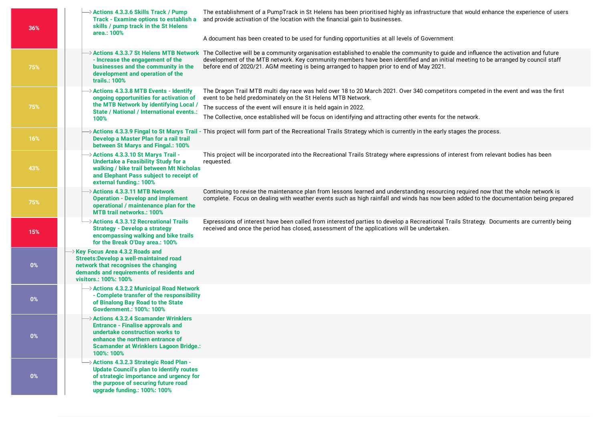| 36%   | > Actions 4.3.3.6 Skills Track / Pump<br><b>Track - Examine options to establish a</b><br>skills / pump track in the St Helens<br>area.: 100%                                                                           | The establishment of a PumpTrack in St Helens has been prioritised highly as infrastructure that would enhance the experience of users<br>and provide activation of the location with the financial gain to businesses.<br>A document has been created to be used for funding opportunities at all levels of Government                                                             |
|-------|-------------------------------------------------------------------------------------------------------------------------------------------------------------------------------------------------------------------------|-------------------------------------------------------------------------------------------------------------------------------------------------------------------------------------------------------------------------------------------------------------------------------------------------------------------------------------------------------------------------------------|
| 75%   | Actions 4.3.3.7 St Helens MTB Network<br>- Increase the engagement of the<br>businesses and the community in the<br>development and operation of the<br>trails.: 100%                                                   | The Collective will be a community organisation established to enable the community to guide and influence the activation and future<br>development of the MTB network. Key community members have been identified and an initial meeting to be arranged by council staff<br>before end of 2020/21. AGM meeting is being arranged to happen prior to end of May 2021.               |
| 75%   | > Actions 4.3.3.8 MTB Events - Identify<br>ongoing opportunities for activation of<br>the MTB Network by identifying Local /<br><b>State / National / International events.:</b><br>100%                                | The Dragon Trail MTB multi day race was held over 18 to 20 March 2021. Over 340 competitors competed in the event and was the first<br>event to be held predominately on the St Helens MTB Network.<br>The success of the event will ensure it is held again in 2022.<br>The Collective, once established will be focus on identifying and attracting other events for the network. |
| 16%   | Develop a Master Plan for a rail trail<br>between St Marys and Fingal.: 100%                                                                                                                                            | > Actions 4.3.3.9 Fingal to St Marys Trail - This project will form part of the Recreational Trails Strategy which is currently in the early stages the process.                                                                                                                                                                                                                    |
| 43%   | > Actions 4.3.3.10 St Marys Trail -<br><b>Undertake a Feasibility Study for a</b><br>walking / bike trail between Mt Nicholas<br>and Elephant Pass subject to receipt of<br>external funding.: 100%                     | This project will be incorporated into the Recreational Trails Strategy where expressions of interest from relevant bodies has been<br>requested.                                                                                                                                                                                                                                   |
| 75%   | > Actions 4.3.3.11 MTB Network<br><b>Operation - Develop and implement</b><br>operational / maintenance plan for the<br><b>MTB trail networks.: 100%</b>                                                                | Continuing to revise the maintenance plan from lessons learned and understanding resourcing required now that the whole network is<br>complete. Focus on dealing with weather events such as high rainfall and winds has now been added to the documentation being prepared                                                                                                         |
| 15%   | > Actions 4.3.3.12 Recreational Trails<br><b>Strategy - Develop a strategy</b><br>encompassing walking and bike trails<br>for the Break O'Day area.: 100%                                                               | Expressions of interest have been called from interested parties to develop a Recreational Trails Strategy. Documents are currently being<br>received and once the period has closed, assessment of the applications will be undertaken.                                                                                                                                            |
| $0\%$ | Xey Focus Area 4.3.2 Roads and<br><b>Streets:Develop a well-maintained road</b><br>network that recognises the changing<br>demands and requirements of residents and<br>visitors.: 100%: 100%                           |                                                                                                                                                                                                                                                                                                                                                                                     |
| $0\%$ | → Actions 4.3.2.2 Municipal Road Network<br>- Complete transfer of the responsibility<br>of Binalong Bay Road to the State<br>Govdernment.: 100%: 100%                                                                  |                                                                                                                                                                                                                                                                                                                                                                                     |
| $0\%$ | > Actions 4.3.2.4 Scamander Wrinklers<br><b>Entrance - Finalise approvals and</b><br>undertake construction works to<br>enhance the northern entrance of<br><b>Scamander at Wrinklers Lagoon Bridge.:</b><br>100%: 100% |                                                                                                                                                                                                                                                                                                                                                                                     |
| $0\%$ | → Actions 4.3.2.3 Strategic Road Plan -<br><b>Update Council's plan to identify routes</b><br>of strategic importance and urgency for<br>the purpose of securing future road<br>upgrade funding.: 100%: 100%            |                                                                                                                                                                                                                                                                                                                                                                                     |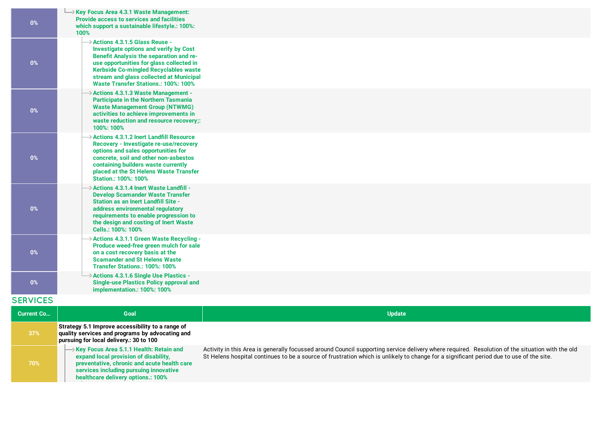| 0%                | $\rightarrow$ Key Focus Area 4.3.1 Waste Management:<br><b>Provide access to services and facilities</b><br>which support a sustainable lifestyle.: 100%:<br>100%                                                                                                                                                      |               |
|-------------------|------------------------------------------------------------------------------------------------------------------------------------------------------------------------------------------------------------------------------------------------------------------------------------------------------------------------|---------------|
| $0\%$             | $\rightarrow$ Actions 4.3.1.5 Glass Reuse -<br><b>Investigate options and verify by Cost</b><br>Benefit Analysis the separation and re-<br>use opportunities for glass collected in<br>Kerbside Co-mingled Recyclables waste<br>stream and glass collected at Municipal<br><b>Waste Transfer Stations.: 100%: 100%</b> |               |
| $0\%$             | > Actions 4.3.1.3 Waste Management -<br><b>Participate in the Northern Tasmania</b><br><b>Waste Management Group (NTWMG)</b><br>activities to achieve improvements in<br>waste reduction and resource recovery;:<br>100%: 100%                                                                                         |               |
| $0\%$             | $\rightarrow$ Actions 4.3.1.2 Inert Landfill Resource<br>Recovery - Investigate re-use/recovery<br>options and sales opportunities for<br>concrete, soil and other non-asbestos<br>containing builders waste currently<br>placed at the St Helens Waste Transfer<br><b>Station.: 100%: 100%</b>                        |               |
| $0\%$             | $\rightarrow$ Actions 4.3.1.4 Inert Waste Landfill -<br><b>Develop Scamander Waste Transfer</b><br><b>Station as an Inert Landfill Site -</b><br>address environmental regulatory<br>requirements to enable progression to<br>the design and costing of Inert Waste<br>Cells.: 100%: 100%                              |               |
| $0\%$             | → Actions 4.3.1.1 Green Waste Recycling -<br>Produce weed-free green mulch for sale<br>on a cost recovery basis at the<br><b>Scamander and St Helens Waste</b><br>Transfer Stations.: 100%: 100%                                                                                                                       |               |
| $0\%$             | → Actions 4.3.1.6 Single Use Plastics -<br><b>Single-use Plastics Policy approval and</b><br>implementation.: 100%: 100%                                                                                                                                                                                               |               |
| <b>SERVICES</b>   |                                                                                                                                                                                                                                                                                                                        |               |
| <b>Current Co</b> | Goal                                                                                                                                                                                                                                                                                                                   | <b>Update</b> |
| 37%               | Strategy 5.1 Improve accessibility to a range of<br>quality services and programs by advocating and<br>pursuing for local delivery.: 30 to 100                                                                                                                                                                         |               |

**Key Focus Area 5.1.1 Health: Retain and expand local provision of disability, [preventative,](https://breakoday.executestrategy.net/user/goals/121) chronic and acute health care services including pursuing innovative healthcare delivery options.: 100%**

**70%**

Activity in this Area is generally focussed around Council supporting service delivery where required. Resolution of the situation with the old St Helens hospital continues to be a source of frustration which is unlikely to change for a significant period due to use of the site.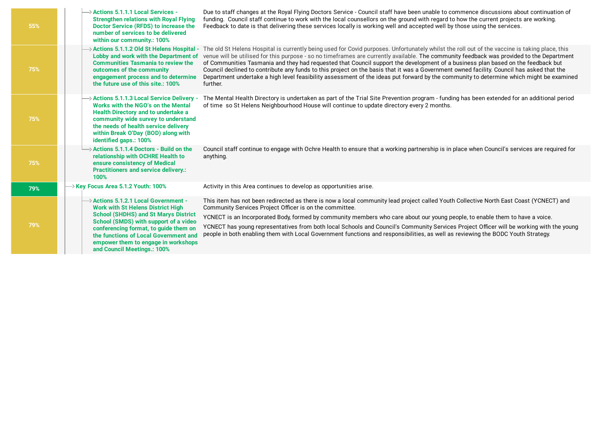| 55% | $\rightarrow$ Actions 5.1.1.1 Local Services -<br><b>Strengthen relations with Royal Flying</b><br>Doctor Service (RFDS) to increase the<br>number of services to be delivered<br>within our community.: 100%                                                                                                                                | Due to staff changes at the Royal Flying Doctors Service - Council staff have been unable to commence discussions about continuation of<br>funding. Council staff continue to work with the local counsellors on the ground with regard to how the current projects are working.<br>Feedback to date is that delivering these services locally is working well and accepted well by those using the services.                                                                                                                                                                                                                                                                                                                      |
|-----|----------------------------------------------------------------------------------------------------------------------------------------------------------------------------------------------------------------------------------------------------------------------------------------------------------------------------------------------|------------------------------------------------------------------------------------------------------------------------------------------------------------------------------------------------------------------------------------------------------------------------------------------------------------------------------------------------------------------------------------------------------------------------------------------------------------------------------------------------------------------------------------------------------------------------------------------------------------------------------------------------------------------------------------------------------------------------------------|
| 75% | > Actions 5.1.1.2 Old St Helens Hospital -<br>Lobby and work with the Department of<br><b>Communities Tasmania to review the</b><br>outcomes of the community<br>engagement process and to determine<br>the future use of this site.: 100%                                                                                                   | The old St Helens Hospital is currently being used for Covid purposes. Unfortunately whilst the roll out of the vaccine is taking place, this<br>venue will be utilised for this purpose - so no timeframes are currently available. The community feedback was provided to the Department<br>of Communities Tasmania and they had requested that Council support the development of a business plan based on the feedback but<br>Council declined to contribute any funds to this project on the basis that it was a Government owned facility. Council has asked that the<br>Department undertake a high level feasibility assessment of the ideas put forward by the community to determine which might be examined<br>further. |
| 75% | > Actions 5.1.1.3 Local Service Delivery -<br>Works with the NGO's on the Mental<br>Health Directory and to undertake a<br>community wide survey to understand<br>the needs of health service delivery<br>within Break O'Day (BOD) along with<br>identified gaps.: 100%                                                                      | The Mental Health Directory is undertaken as part of the Trial Site Prevention program - funding has been extended for an additional period<br>of time so St Helens Neighbourhood House will continue to update directory every 2 months.                                                                                                                                                                                                                                                                                                                                                                                                                                                                                          |
| 75% | Actions 5.1.1.4 Doctors - Build on the<br>relationship with OCHRE Health to<br>ensure consistency of Medical<br><b>Practitioners and service delivery.:</b><br>100%                                                                                                                                                                          | Council staff continue to engage with Ochre Health to ensure that a working partnership is in place when Council's services are reguired for<br>anything.                                                                                                                                                                                                                                                                                                                                                                                                                                                                                                                                                                          |
| 79% | $\rightarrow$ Key Focus Area 5.1.2 Youth: 100%                                                                                                                                                                                                                                                                                               | Activity in this Area continues to develop as opportunities arise.                                                                                                                                                                                                                                                                                                                                                                                                                                                                                                                                                                                                                                                                 |
| 79% | $\rightarrow$ Actions 5.1.2.1 Local Government -<br><b>Work with St Helens District High</b><br><b>School (SHDHS) and St Marys District</b><br>School (SMDS) with support of a video<br>conferencing format, to guide them on<br>the functions of Local Government and<br>empower them to engage in workshops<br>and Council Meetings.: 100% | This item has not been redirected as there is now a local community lead project called Youth Collective North East Coast (YCNECT) and<br>Community Services Project Officer is on the committee.<br>YCNECT is an Incorporated Body, formed by community members who care about our young people, to enable them to have a voice.<br>YCNECT has young representatives from both local Schools and Council's Community Services Project Officer will be working with the young<br>people in both enabling them with Local Government functions and responsibilities, as well as reviewing the BODC Youth Strategy.                                                                                                                  |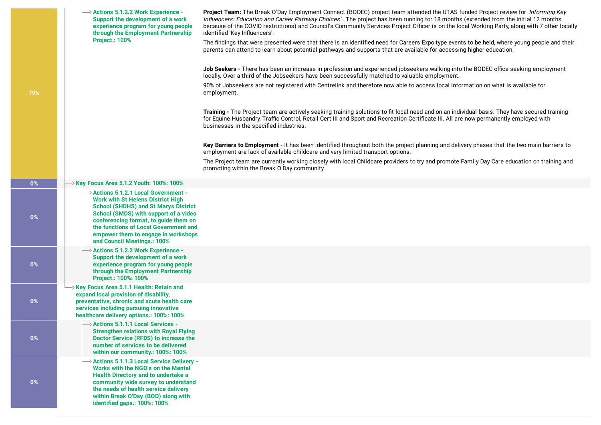|       | $\rightarrow$ Actions 5.1.2.2 Work Experience -<br>Support the development of a work<br>experience program for young people<br>through the Employment Partnership<br><b>Project.: 100%</b>                                                                                                                                       | Project Team: The Break O'Day Employment Connect (BODEC) project team attended the UTAS funded Project review for 'Informing Key<br>Influencers: Education and Career Pathway Choices'. The project has been running for 18 months (extended from the initial 12 months<br>because of the COVID restrictions) and Council's Community Services Project Officer is on the local Working Party, along with 7 other locally<br>identified 'Key Influencers'.<br>The findings that were presented were that there is an identified need for Careers Expo type events to be held, where young people and their<br>parents can attend to learn about potential pathways and supports that are available for accessing higher education. |
|-------|----------------------------------------------------------------------------------------------------------------------------------------------------------------------------------------------------------------------------------------------------------------------------------------------------------------------------------|-----------------------------------------------------------------------------------------------------------------------------------------------------------------------------------------------------------------------------------------------------------------------------------------------------------------------------------------------------------------------------------------------------------------------------------------------------------------------------------------------------------------------------------------------------------------------------------------------------------------------------------------------------------------------------------------------------------------------------------|
| 79%   |                                                                                                                                                                                                                                                                                                                                  | Job Seekers - There has been an increase in profession and experienced jobseekers walking into the BODEC office seeking employment<br>locally. Over a third of the Jobseekers have been successfully matched to valuable employment.<br>90% of Jobseekers are not registered with Centrelink and therefore now able to access local information on what is available for<br>employment.                                                                                                                                                                                                                                                                                                                                           |
|       |                                                                                                                                                                                                                                                                                                                                  | Training - The Project team are actively seeking training solutions to fit local need and on an individual basis. They have secured training<br>for Equine Husbandry, Traffic Control, Retail Cert III and Sport and Recreation Certificate III. All are now permanently employed with<br>businesses in the specified industries.                                                                                                                                                                                                                                                                                                                                                                                                 |
|       |                                                                                                                                                                                                                                                                                                                                  | Key Barriers to Employment - It has been identified throughout both the project planning and delivery phases that the two main barriers to<br>employment are lack of available childcare and very limited transport options.<br>The Project team are currently working closely with local Childcare providers to try and promote Family Day Care education on training and<br>promoting within the Break O'Day community.                                                                                                                                                                                                                                                                                                         |
| $0\%$ | $\rightarrow$ Key Focus Area 5.1.2 Youth: 100%: 100%                                                                                                                                                                                                                                                                             |                                                                                                                                                                                                                                                                                                                                                                                                                                                                                                                                                                                                                                                                                                                                   |
| $0\%$ | → Actions 5.1.2.1 Local Government -<br><b>Work with St Helens District High</b><br><b>School (SHDHS) and St Marys District</b><br>School (SMDS) with support of a video<br>conferencing format, to guide them on<br>the functions of Local Government and<br>empower them to engage in workshops<br>and Council Meetings.: 100% |                                                                                                                                                                                                                                                                                                                                                                                                                                                                                                                                                                                                                                                                                                                                   |
| $0\%$ | $\rightarrow$ Actions 5.1.2.2 Work Experience -<br>Support the development of a work<br>experience program for young people<br>through the Employment Partnership<br>Project.: 100%: 100%                                                                                                                                        |                                                                                                                                                                                                                                                                                                                                                                                                                                                                                                                                                                                                                                                                                                                                   |
| $0\%$ | $\rightarrow$ Key Focus Area 5.1.1 Health: Retain and<br>expand local provision of disability,<br>preventative, chronic and acute health care<br>services including pursuing innovative<br>healthcare delivery options.: 100%: 100%                                                                                              |                                                                                                                                                                                                                                                                                                                                                                                                                                                                                                                                                                                                                                                                                                                                   |
| $0\%$ | $\rightarrow$ Actions 5.1.1.1 Local Services -<br><b>Strengthen relations with Royal Flying</b><br><b>Doctor Service (RFDS) to increase the</b><br>number of services to be delivered<br>within our community.: 100%: 100%                                                                                                       |                                                                                                                                                                                                                                                                                                                                                                                                                                                                                                                                                                                                                                                                                                                                   |
| $0\%$ | > Actions 5.1.1.3 Local Service Delivery -<br><b>Works with the NGO's on the Mental</b><br><b>Health Directory and to undertake a</b><br>community wide survey to understand<br>the needs of health service delivery<br>within Break O'Day (BOD) along with<br>identified gaps.: 100%: 100%                                      |                                                                                                                                                                                                                                                                                                                                                                                                                                                                                                                                                                                                                                                                                                                                   |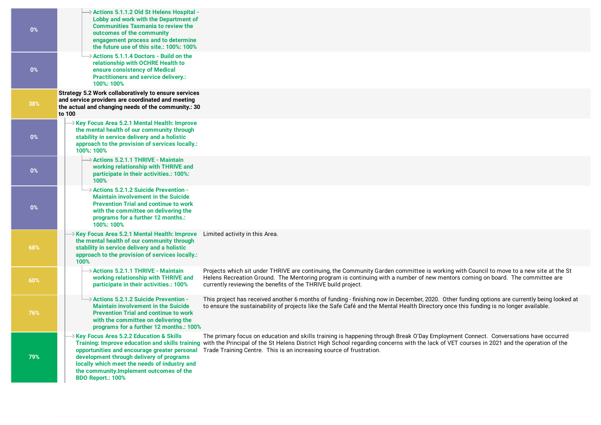| $0\%$ | → Actions 5.1.1.2 Old St Helens Hospital -<br>Lobby and work with the Department of<br><b>Communities Tasmania to review the</b><br>outcomes of the community<br>engagement process and to determine<br>the future use of this site.: 100%: 100%                                                                                                                                                                                                                                                                                                                                                                                                                                    |
|-------|-------------------------------------------------------------------------------------------------------------------------------------------------------------------------------------------------------------------------------------------------------------------------------------------------------------------------------------------------------------------------------------------------------------------------------------------------------------------------------------------------------------------------------------------------------------------------------------------------------------------------------------------------------------------------------------|
| $0\%$ | $\rightarrow$ Actions 5.1.1.4 Doctors - Build on the<br>relationship with OCHRE Health to<br>ensure consistency of Medical<br><b>Practitioners and service delivery.:</b><br>100%: 100%                                                                                                                                                                                                                                                                                                                                                                                                                                                                                             |
| 38%   | Strategy 5.2 Work collaboratively to ensure services<br>and service providers are coordinated and meeting<br>the actual and changing needs of the community.: 30<br>to 100                                                                                                                                                                                                                                                                                                                                                                                                                                                                                                          |
| $0\%$ | Xey Focus Area 5.2.1 Mental Health: Improve<br>the mental health of our community through<br>stability in service delivery and a holistic<br>approach to the provision of services locally.:<br>100%: 100%                                                                                                                                                                                                                                                                                                                                                                                                                                                                          |
| $0\%$ | $\rightarrow$ Actions 5.2.1.1 THRIVE - Maintain<br>working relationship with THRIVE and<br>participate in their activities.: 100%:<br>100%                                                                                                                                                                                                                                                                                                                                                                                                                                                                                                                                          |
| $0\%$ | $\rightarrow$ Actions 5.2.1.2 Suicide Prevention -<br><b>Maintain involvement in the Suicide</b><br><b>Prevention Trial and continue to work</b><br>with the committee on delivering the<br>programs for a further 12 months.:<br>100%: 100%                                                                                                                                                                                                                                                                                                                                                                                                                                        |
| 68%   | $\rightarrow$ Key Focus Area 5.2.1 Mental Health: Improve Limited activity in this Area.<br>the mental health of our community through<br>stability in service delivery and a holistic<br>approach to the provision of services locally.:<br>100%                                                                                                                                                                                                                                                                                                                                                                                                                                   |
| 60%   | $\rightarrow$ Actions 5.2.1.1 THRIVE - Maintain<br>Projects which sit under THRIVE are continuing, the Community Garden committee is working with Council to move to a new site at the St<br>Helens Recreation Ground. The Mentoring program is continuing with a number of new mentors coming on board. The committee are<br>working relationship with THRIVE and<br>currently reviewing the benefits of the THRIVE build project.<br>participate in their activities.: 100%                                                                                                                                                                                                       |
| 76%   | $\rightarrow$ Actions 5.2.1.2 Suicide Prevention -<br>This project has received another 6 months of funding - finishing now in December, 2020. Other funding options are currently being looked at<br><b>Maintain involvement in the Suicide</b><br>to ensure the sustainability of projects like the Safe Café and the Mental Health Directory once this funding is no longer available.<br><b>Prevention Trial and continue to work</b><br>with the committee on delivering the<br>programs for a further 12 months.: 100%                                                                                                                                                        |
| 79%   | $\rightarrow$ Key Focus Area 5.2.2 Education & Skills<br>The primary focus on education and skills training is happening through Break O'Day Employment Connect. Conversations have occurred<br>Training: Improve education and skills training with the Principal of the St Helens District High School regarding concerns with the lack of VET courses in 2021 and the operation of the<br>opportunities and encourage greater personal<br>Trade Training Centre. This is an increasing source of frustration.<br>development through delivery of programs<br>locally which meet the needs of industry and<br>the community.Implement outcomes of the<br><b>BDO Report.: 100%</b> |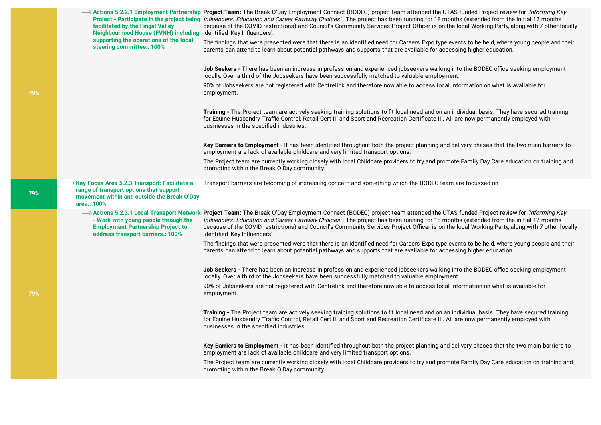|  | facilitated by the Fingal Valley<br>Neighbourhood House (FVNH) including identified 'Key Influencers'.<br>supporting the operations of the local        | → Actions 5.2.2.1 Employment Partnership Project Team: The Break O'Day Employment Connect (BODEC) project team attended the UTAS funded Project review for <i>'Informing Key</i><br>Project - Participate in the project being <i>Influencers: Education and Career Pathway Choices'</i> . The project has been running for 18 months (extended from the initial 12 months<br>because of the COVID restrictions) and Council's Community Services Project Officer is on the local Working Party, along with 7 other locally |
|--|---------------------------------------------------------------------------------------------------------------------------------------------------------|-----------------------------------------------------------------------------------------------------------------------------------------------------------------------------------------------------------------------------------------------------------------------------------------------------------------------------------------------------------------------------------------------------------------------------------------------------------------------------------------------------------------------------|
|  | steering committee.: 100%                                                                                                                               | The findings that were presented were that there is an identified need for Careers Expo type events to be held, where young people and their<br>parents can attend to learn about potential pathways and supports that are available for accessing higher education.                                                                                                                                                                                                                                                        |
|  |                                                                                                                                                         | Job Seekers - There has been an increase in profession and experienced jobseekers walking into the BODEC office seeking employment<br>locally. Over a third of the Jobseekers have been successfully matched to valuable employment.                                                                                                                                                                                                                                                                                        |
|  |                                                                                                                                                         | 90% of Jobseekers are not registered with Centrelink and therefore now able to access local information on what is available for<br>employment.                                                                                                                                                                                                                                                                                                                                                                             |
|  |                                                                                                                                                         | Training - The Project team are actively seeking training solutions to fit local need and on an individual basis. They have secured training<br>for Equine Husbandry, Traffic Control, Retail Cert III and Sport and Recreation Certificate III. All are now permanently employed with<br>businesses in the specified industries.                                                                                                                                                                                           |
|  |                                                                                                                                                         | Key Barriers to Employment - It has been identified throughout both the project planning and delivery phases that the two main barriers to<br>employment are lack of available childcare and very limited transport options.                                                                                                                                                                                                                                                                                                |
|  |                                                                                                                                                         | The Project team are currently working closely with local Childcare providers to try and promote Family Day Care education on training and<br>promoting within the Break O'Day community.                                                                                                                                                                                                                                                                                                                                   |
|  | → Key Focus Area 5.2.3 Transport: Facilitate a<br>range of transport options that support<br>movement within and outside the Break O'Day<br>area.: 100% | Transport barriers are becoming of increasing concern and something which the BODEC team are focussed on                                                                                                                                                                                                                                                                                                                                                                                                                    |
|  | - Work with young people through the<br><b>Employment Partnership Project to</b><br>address transport barriers.: 100%                                   | → Actions 5.2.3.1 Local Transport Network Project Team: The Break O'Day Employment Connect (BODEC) project team attended the UTAS funded Project review for <i>'Informing Key</i><br>Influencers: Education and Career Pathway Choices'. The project has been running for 18 months (extended from the initial 12 months<br>because of the COVID restrictions) and Council's Community Services Project Officer is on the local Working Party, along with 7 other locally<br>identified 'Key Influencers'.                  |
|  |                                                                                                                                                         | The findings that were presented were that there is an identified need for Careers Expo type events to be held, where young people and their<br>parents can attend to learn about potential pathways and supports that are available for accessing higher education.                                                                                                                                                                                                                                                        |
|  |                                                                                                                                                         | Job Seekers - There has been an increase in profession and experienced jobseekers walking into the BODEC office seeking employment<br>locally. Over a third of the Jobseekers have been successfully matched to valuable employment.                                                                                                                                                                                                                                                                                        |
|  |                                                                                                                                                         | 90% of Jobseekers are not registered with Centrelink and therefore now able to access local information on what is available for<br>employment.                                                                                                                                                                                                                                                                                                                                                                             |
|  |                                                                                                                                                         | Training - The Project team are actively seeking training solutions to fit local need and on an individual basis. They have secured training<br>for Equine Husbandry, Traffic Control, Retail Cert III and Sport and Recreation Certificate III. All are now permanently employed with<br>businesses in the specified industries.                                                                                                                                                                                           |
|  |                                                                                                                                                         | Key Barriers to Employment - It has been identified throughout both the project planning and delivery phases that the two main barriers to<br>employment are lack of available childcare and very limited transport options.                                                                                                                                                                                                                                                                                                |
|  |                                                                                                                                                         | The Project team are currently working closely with local Childcare providers to try and promote Family Day Care education on training and<br>promoting within the Break O'Day community.                                                                                                                                                                                                                                                                                                                                   |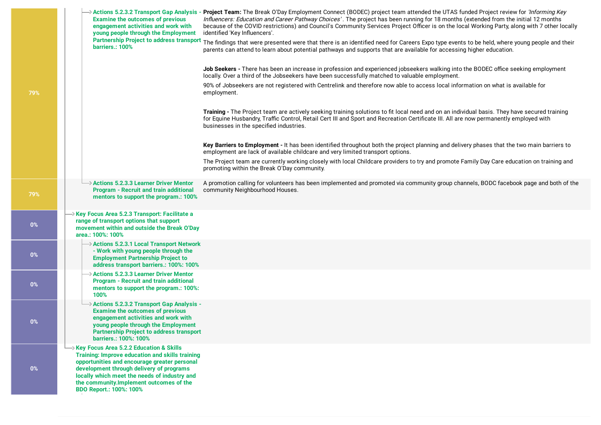|  | <b>Examine the outcomes of previous</b><br>engagement activities and work with<br>young people through the Employment<br><b>Partnership Project to address transport</b>                                                                                                                                                          | > Actions 5.2.3.2 Transport Gap Analysis - Project Team: The Break O'Day Employment Connect (BODEC) project team attended the UTAS funded Project review for <i>'Informing Key</i><br>Influencers: Education and Career Pathway Choices'. The project has been running for 18 months (extended from the initial 12 months<br>because of the COVID restrictions) and Council's Community Services Project Officer is on the local Working Party, along with 7 other locally<br>identified 'Key Influencers'. |
|--|-----------------------------------------------------------------------------------------------------------------------------------------------------------------------------------------------------------------------------------------------------------------------------------------------------------------------------------|-------------------------------------------------------------------------------------------------------------------------------------------------------------------------------------------------------------------------------------------------------------------------------------------------------------------------------------------------------------------------------------------------------------------------------------------------------------------------------------------------------------|
|  | barriers.: 100%                                                                                                                                                                                                                                                                                                                   | The findings that were presented were that there is an identified need for Careers Expo type events to be held, where young people and their<br>parents can attend to learn about potential pathways and supports that are available for accessing higher education.                                                                                                                                                                                                                                        |
|  |                                                                                                                                                                                                                                                                                                                                   | Job Seekers - There has been an increase in profession and experienced jobseekers walking into the BODEC office seeking employment<br>locally. Over a third of the Jobseekers have been successfully matched to valuable employment.                                                                                                                                                                                                                                                                        |
|  |                                                                                                                                                                                                                                                                                                                                   | 90% of Jobseekers are not registered with Centrelink and therefore now able to access local information on what is available for<br>employment.                                                                                                                                                                                                                                                                                                                                                             |
|  |                                                                                                                                                                                                                                                                                                                                   | Training - The Project team are actively seeking training solutions to fit local need and on an individual basis. They have secured training<br>for Equine Husbandry, Traffic Control, Retail Cert III and Sport and Recreation Certificate III. All are now permanently employed with<br>businesses in the specified industries.                                                                                                                                                                           |
|  |                                                                                                                                                                                                                                                                                                                                   | Key Barriers to Employment - It has been identified throughout both the project planning and delivery phases that the two main barriers to<br>employment are lack of available childcare and very limited transport options.                                                                                                                                                                                                                                                                                |
|  |                                                                                                                                                                                                                                                                                                                                   | The Project team are currently working closely with local Childcare providers to try and promote Family Day Care education on training and<br>promoting within the Break O'Day community.                                                                                                                                                                                                                                                                                                                   |
|  | $\rightarrow$ Actions 5.2.3.3 Learner Driver Mentor<br><b>Program - Recruit and train additional</b><br>mentors to support the program.: 100%                                                                                                                                                                                     | A promotion calling for volunteers has been implemented and promoted via community group channels, BODC facebook page and both of the<br>community Neighbourhood Houses.                                                                                                                                                                                                                                                                                                                                    |
|  | → Key Focus Area 5.2.3 Transport: Facilitate a<br>range of transport options that support<br>movement within and outside the Break O'Day<br>area.: 100%: 100%                                                                                                                                                                     |                                                                                                                                                                                                                                                                                                                                                                                                                                                                                                             |
|  | → Actions 5.2.3.1 Local Transport Network<br>- Work with young people through the<br><b>Employment Partnership Project to</b><br>address transport barriers.: 100%: 100%                                                                                                                                                          |                                                                                                                                                                                                                                                                                                                                                                                                                                                                                                             |
|  | → Actions 5.2.3.3 Learner Driver Mentor<br><b>Program - Recruit and train additional</b><br>mentors to support the program.: 100%:<br>100%                                                                                                                                                                                        |                                                                                                                                                                                                                                                                                                                                                                                                                                                                                                             |
|  | → Actions 5.2.3.2 Transport Gap Analysis -<br><b>Examine the outcomes of previous</b><br>engagement activities and work with<br>young people through the Employment<br><b>Partnership Project to address transport</b><br>barriers.: 100%: 100%                                                                                   |                                                                                                                                                                                                                                                                                                                                                                                                                                                                                                             |
|  | $\rightarrow$ Key Focus Area 5.2.2 Education & Skills<br>Training: Improve education and skills training<br>opportunities and encourage greater personal<br>development through delivery of programs<br>locally which meet the needs of industry and<br>the community.Implement outcomes of the<br><b>BDO Report.: 100%: 100%</b> |                                                                                                                                                                                                                                                                                                                                                                                                                                                                                                             |

**0%**

**0%**

**0%**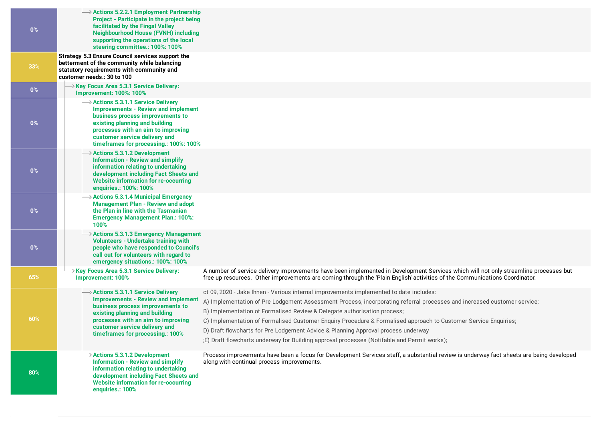| $0\%$ | $\rightarrow$ Actions 5.2.2.1 Employment Partnership<br>Project - Participate in the project being<br>facilitated by the Fingal Valley<br><b>Neighbourhood House (FVNH) including</b><br>supporting the operations of the local<br>steering committee.: 100%: 100%                  |                                                                                                                                                                                                                                                                                                                                                                                                                                                                                                                                                                                                      |
|-------|-------------------------------------------------------------------------------------------------------------------------------------------------------------------------------------------------------------------------------------------------------------------------------------|------------------------------------------------------------------------------------------------------------------------------------------------------------------------------------------------------------------------------------------------------------------------------------------------------------------------------------------------------------------------------------------------------------------------------------------------------------------------------------------------------------------------------------------------------------------------------------------------------|
| 33%   | Strategy 5.3 Ensure Council services support the<br>betterment of the community while balancing<br>statutory requirements with community and<br>customer needs.: 30 to 100                                                                                                          |                                                                                                                                                                                                                                                                                                                                                                                                                                                                                                                                                                                                      |
| $0\%$ | $\rightarrow$ Key Focus Area 5.3.1 Service Delivery:<br><b>Improvement: 100%: 100%</b>                                                                                                                                                                                              |                                                                                                                                                                                                                                                                                                                                                                                                                                                                                                                                                                                                      |
| $0\%$ | $\rightarrow$ Actions 5.3.1.1 Service Delivery<br><b>Improvements - Review and implement</b><br>business process improvements to<br>existing planning and building<br>processes with an aim to improving<br>customer service delivery and<br>timeframes for processing.: 100%: 100% |                                                                                                                                                                                                                                                                                                                                                                                                                                                                                                                                                                                                      |
| $0\%$ | $\rightarrow$ Actions 5.3.1.2 Development<br><b>Information - Review and simplify</b><br>information relating to undertaking<br>development including Fact Sheets and<br><b>Website information for re-occurring</b><br>enquiries.: 100%: 100%                                      |                                                                                                                                                                                                                                                                                                                                                                                                                                                                                                                                                                                                      |
| 0%    | $\rightarrow$ Actions 5.3.1.4 Municipal Emergency<br><b>Management Plan - Review and adopt</b><br>the Plan in line with the Tasmanian<br><b>Emergency Management Plan.: 100%:</b><br>100%                                                                                           |                                                                                                                                                                                                                                                                                                                                                                                                                                                                                                                                                                                                      |
| $0\%$ | > Actions 5.3.1.3 Emergency Management<br><b>Volunteers - Undertake training with</b><br>people who have responded to Council's<br>call out for volunteers with regard to<br>emergency situations.: 100%: 100%                                                                      |                                                                                                                                                                                                                                                                                                                                                                                                                                                                                                                                                                                                      |
| 65%   | $\rightarrow$ Key Focus Area 5.3.1 Service Delivery:<br>Improvement: 100%                                                                                                                                                                                                           | A number of service delivery improvements have been implemented in Development Services which will not only streamline processes but<br>free up resources. Other improvements are coming through the 'Plain English' activities of the Communications Coordinator.                                                                                                                                                                                                                                                                                                                                   |
| 60%   | $\rightarrow$ Actions 5.3.1.1 Service Delivery<br><b>Improvements - Review and implement</b><br>business process improvements to<br>existing planning and building<br>processes with an aim to improving<br>customer service delivery and<br>timeframes for processing.: 100%       | ct 09, 2020 - Jake Ihnen - Various internal improvements implemented to date includes:<br>A) Implementation of Pre Lodgement Assessment Process, incorporating referral processes and increased customer service;<br>B) Implementation of Formalised Review & Delegate authorisation process;<br>C) Implementation of Formalised Customer Enquiry Procedure & Formalised approach to Customer Service Enquiries;<br>D) Draft flowcharts for Pre Lodgement Advice & Planning Approval process underway<br>;E) Draft flowcharts underway for Building approval processes (Notifable and Permit works); |
| 80%   | $\rightarrow$ Actions 5.3.1.2 Development<br><b>Information - Review and simplify</b><br>information relating to undertaking<br>development including Fact Sheets and<br><b>Website information for re-occurring</b><br>enquiries.: 100%                                            | Process improvements have been a focus for Development Services staff, a substantial review is underway fact sheets are being developed<br>along with continual process improvements.                                                                                                                                                                                                                                                                                                                                                                                                                |